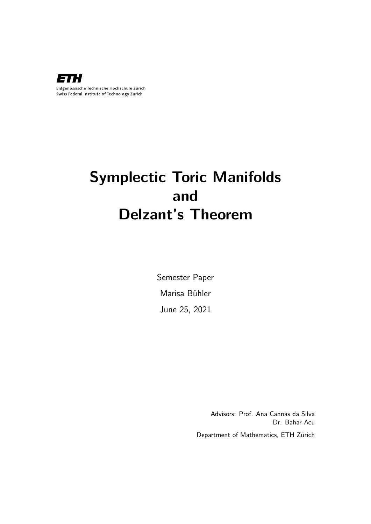

# **Symplectic Toric Manifolds and Delzant's Theorem**

Semester Paper Marisa Bühler June 25, 2021

> Advisors: Prof. Ana Cannas da Silva Dr. Bahar Acu Department of Mathematics, ETH Zürich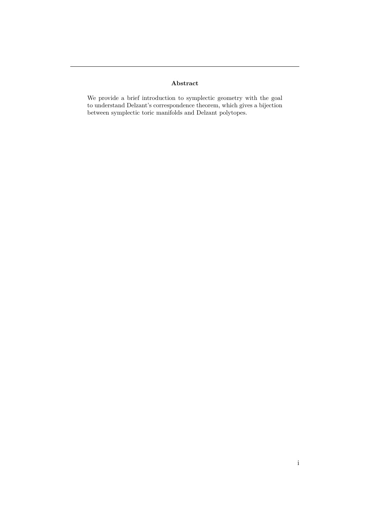#### **Abstract**

We provide a brief introduction to symplectic geometry with the goal to understand Delzant's correspondence theorem, which gives a bijection between symplectic toric manifolds and Delzant polytopes.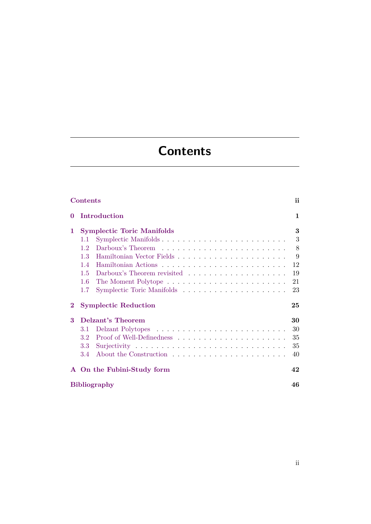# <span id="page-2-0"></span>**Contents**

| ii<br><b>Contents</b> |                                   |                             |    |  |
|-----------------------|-----------------------------------|-----------------------------|----|--|
| 0                     |                                   | Introduction                | 1  |  |
| 1                     | <b>Symplectic Toric Manifolds</b> |                             |    |  |
|                       | 1.1                               | Symplectic Manifolds        | 3  |  |
|                       | 1.2                               |                             | 8  |  |
|                       | 1.3                               |                             | 9  |  |
|                       | 1.4                               |                             | 12 |  |
|                       | 1.5                               |                             | 19 |  |
|                       | 1.6                               |                             | 21 |  |
|                       | 1.7                               |                             | 23 |  |
| $\bf{2}$              |                                   | <b>Symplectic Reduction</b> | 25 |  |
| $\mathbf{R}$          | Delzant's Theorem                 |                             | 30 |  |
|                       | 3.1                               |                             | 30 |  |
|                       | 3.2                               |                             | 35 |  |
|                       | 3.3                               |                             | 35 |  |
|                       | 3.4                               |                             | 40 |  |
|                       |                                   | A On the Fubini-Study form  | 42 |  |
|                       | <b>Bibliography</b>               |                             |    |  |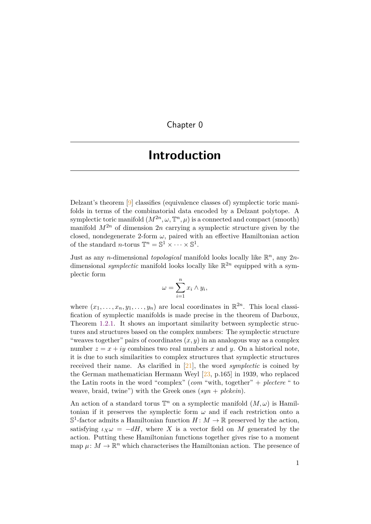<span id="page-3-0"></span>Chapter 0

# **Introduction**

Delzant's theorem [[9\]](#page-48-1) classifies (equivalence classes of) symplectic toric manifolds in terms of the combinatorial data encoded by a Delzant polytope. A symplectic toric manifold  $(M^{2n}, \omega, \mathbb{T}^n, \mu)$  is a connected and compact (smooth) manifold  $M^{2n}$  of dimension  $2n$  carrying a symplectic structure given by the closed, nondegenerate 2-form  $\omega$ , paired with an effective Hamiltonian action of the standard *n*-torus  $\mathbb{T}^n = \mathbb{S}^1 \times \cdots \times \mathbb{S}^1$ .

Just as any *n*-dimensional *topological* manifold looks locally like  $\mathbb{R}^n$ , any  $2n$ dimensional *symplectic* manifold looks locally like  $\mathbb{R}^{2n}$  equipped with a symplectic form

$$
\omega = \sum_{i=1}^{n} x_i \wedge y_i,
$$

where  $(x_1, \ldots, x_n, y_1, \ldots, y_n)$  are local coordinates in  $\mathbb{R}^{2n}$ . This local classification of symplectic manifolds is made precise in the theorem of Darboux, Theorem [1.2.1](#page-10-1). It shows an important similarity between symplectic structures and structures based on the complex numbers: The symplectic structure "weaves together" pairs of coordinates  $(x, y)$  in an analogous way as a complex number  $z = x + iy$  combines two real numbers x and y. On a historical note, it is due to such similarities to complex structures that symplectic structures received their name. As clarified in [\[21](#page-49-0)], the word *symplectic* is coined by the German mathematician Hermann Weyl [[23,](#page-49-1) p.165] in 1939, who replaced the Latin roots in the word "complex" (*com* "with, together" + *plectere* " to weave, braid, twine") with the Greek ones (*syn* + *plekein*).

An action of a standard torus  $\mathbb{T}^n$  on a symplectic manifold  $(M, \omega)$  is Hamiltonian if it preserves the symplectic form  $\omega$  and if each restriction onto a  $\mathbb{S}^1$ -factor admits a Hamiltonian function  $H: M \to \mathbb{R}$  preserved by the action, satisfying  $\iota_X \omega = -dH$ , where *X* is a vector field on *M* generated by the action. Putting these Hamiltonian functions together gives rise to a moment map  $\mu: M \to \mathbb{R}^n$  which characterises the Hamiltonian action. The presence of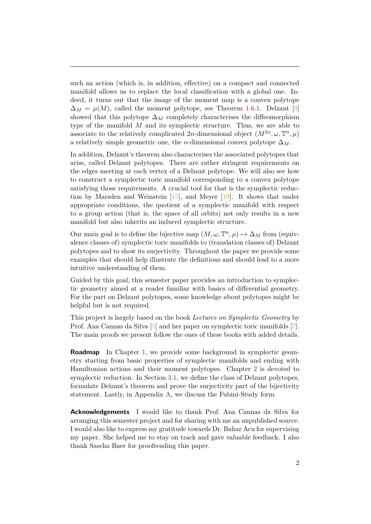such an action (which is, in addition, effective) on a compact and connected manifold allows us to replace the local classification with a global one. Indeed, it turns out that the image of the moment map is a convex polytope  $\Delta_M = \mu(M)$  $\Delta_M = \mu(M)$  $\Delta_M = \mu(M)$ , called the moment polytope, see Theorem [1.6.1.](#page-23-1) Delzant [[9](#page-48-1)] showed that this polytope  $\Delta_M$  completely characterises the diffeomorphism type of the manifold *M* and its symplectic structure. Thus, we are able to associate to the relatively complicated 2*n*-dimensional object  $(M^{2n}, \omega, \mathbb{T}^n, \mu)$ a relatively simple geometric one, the *n*-dimensional convex polytope  $\Delta_M$ .

In addition, Delzant's theorem also characterises the associated polytopes that arise, called Delzant polytopes. There are rather stringent requirements on the edges meeting at each vertex of a Delzant polytope. We will also see how to construct a symplectic toric manifold corresponding to a convex polytope satisfying those requirements. A crucial tool for that is the symplectic reduction by Marsden and Weinstein  $[15]$  $[15]$ , and Meyer  $[19]$ . It shows that under appropriate conditions, the quotient of a symplectic manifold with respect to a group action (that is, the space of all orbits) not only results in a new manifold but also inherits an induced symplectic structure.

Our main goal is to define the bijective map  $(M, \omega, \mathbb{T}^n, \mu) \mapsto \Delta_M$  from (equivalence classes of) symplectic toric manifolds to (translation classes of) Delzant polytopes and to show its surjectivity. Throughout the paper we provide some examples that should help illustrate the definitions and should lead to a more intuitive understanding of them.

Guided by this goal, this semester paper provides an introduction to symplectic geometry aimed at a reader familiar with basics of differential geometry. For the part on Delzant polytopes, some knowledge about polytopes might be helpful but is not required.

This project is largely based on the book *Lectures on Symplectic Geometry* by Prof. Ana Cannas da Silva [[5](#page-48-2)] and her paper on symplectic toric manifolds [[7](#page-48-3)]. The main proofs we present follow the ones of these books with added details.

**Roadmap** In Chapter [1](#page-5-0), we provide some background in symplectic geometry starting from basic properties of symplectic manifolds and ending with Hamiltonian actions and their moment polytopes. Chapter [2](#page-27-0) is devoted to symplectic reduction. In Section [3.1,](#page-36-0) we define the class of Delzant polytopes, formulate Delzant's theorem and prove the surjectivity part of the bijectivity statement. Lastly, in Appendix [A](#page-44-0), we discuss the Fubini-Study form.

**Acknowledgements** I would like to thank Prof. Ana Cannas da Silva for arranging this semester project and for sharing with me an unpublished source. I would also like to express my gratitude towards Dr. Bahar Acu for supervising my paper. She helped me to stay on track and gave valuable feedback. I also thank Sascha Baer for proofreading this paper.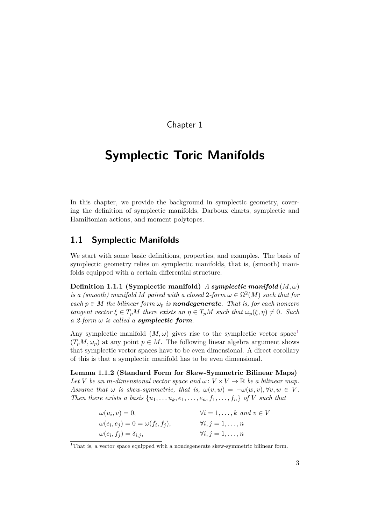### Chapter 1

# <span id="page-5-0"></span>**Symplectic Toric Manifolds**

In this chapter, we provide the background in symplectic geometry, covering the definition of symplectic manifolds, Darboux charts, symplectic and Hamiltonian actions, and moment polytopes.

# <span id="page-5-1"></span>**1.1 Symplectic Manifolds**

We start with some basic definitions, properties, and examples. The basis of symplectic geometry relies on symplectic manifolds, that is, (smooth) manifolds equipped with a certain differential structure.

**Definition 1.1.1 (Symplectic manifold)** *A* symplectic manifold  $(M, \omega)$ *is a (smooth) manifold M* paired with a closed 2-form  $\omega \in \Omega^2(M)$  such that for *each*  $p \in M$  *the bilinear form*  $\omega_p$  *is nondegenerate. That is, for each nonzero tangent vector*  $\xi \in T_pM$  *there exists an*  $\eta \in T_pM$  *such that*  $\omega_p(\xi, \eta) \neq 0$ *. Such a 2-form ω is called a symplectic form.*

Any symplectic manifold  $(M, \omega)$  gives rise to the symplectic vector space<sup>[1](#page-5-2)</sup>  $(T_pM,\omega_p)$  at any point  $p \in M$ . The following linear algebra argument shows that symplectic vector spaces have to be even dimensional. A direct corollary of this is that a symplectic manifold has to be even dimensional.

<span id="page-5-3"></span>**Lemma 1.1.2 (Standard Form for Skew-Symmetric Bilinear Maps)** Let *V* be an *m*-dimensional vector space and  $\omega: V \times V \to \mathbb{R}$  be a bilinear map. *Assume that*  $\omega$  *is skew-symmetric, that is,*  $\omega(v, w) = -\omega(w, v), \forall v, w \in V$ . *Then there exists a basis*  $\{u_1, \ldots, u_k, e_1, \ldots, e_n, f_1, \ldots, f_n\}$  of *V such that* 

| $\omega(u_i, v) = 0,$                      | $\forall i = 1, \ldots, k \text{ and } v \in V$ |
|--------------------------------------------|-------------------------------------------------|
| $\omega(e_i, e_j) = 0 = \omega(f_i, f_j),$ | $\forall i, j = 1, \ldots, n$                   |
| $\omega(e_i, f_j) = \delta_{i,j},$         | $\forall i, j = 1, \ldots, n$                   |

<span id="page-5-2"></span><sup>1</sup>That is, a vector space equipped with a nondegenerate skew-symmetric bilinear form.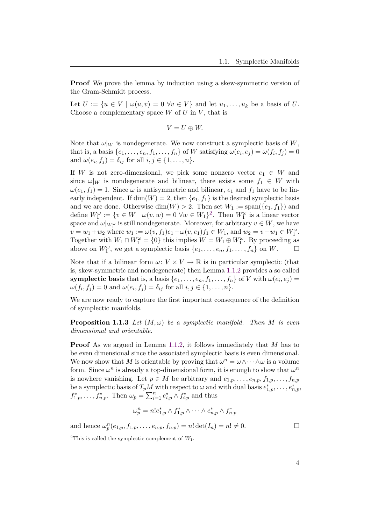**Proof** We prove the lemma by induction using a skew-symmetric version of the Gram-Schmidt process.

Let  $U := \{u \in V \mid \omega(u, v) = 0 \,\forall v \in V\}$  and let  $u_1, \ldots, u_k$  be a basis of U. Choose a complementary space *W* of *U* in *V* , that is

$$
V=U\oplus W.
$$

Note that  $\omega|_W$  is nondegenerate. We now construct a symplectic basis of W, that is, a basis  $\{e_1, \ldots, e_n, f_1, \ldots, f_n\}$  of W satisfying  $\omega(e_i, e_j) = \omega(f_i, f_j) = 0$ and  $\omega(e_i, f_j) = \delta_{ij}$  for all  $i, j \in \{1, \ldots, n\}.$ 

If *W* is not zero-dimensional, we pick some nonzero vector  $e_1 \in W$  and since  $\omega|_W$  is nondegenerate and bilinear, there exists some  $f_1 \in W$  with  $\omega(e_1, f_1) = 1$ . Since  $\omega$  is antisymmetric and bilinear,  $e_1$  and  $f_1$  have to be linearly independent. If  $\dim(W) = 2$ , then  $\{e_1, f_1\}$  is the desired symplectic basis and we are done. Otherwise  $\dim(W) > 2$ . Then set  $W_1 := \text{span}(\{e_1, f_1\})$  and define  $W_1^{\omega} := \{v \in W \mid \omega(v, w) = 0 \,\forall w \in W_1\}^2$  $W_1^{\omega} := \{v \in W \mid \omega(v, w) = 0 \,\forall w \in W_1\}^2$ . Then  $W_1^{\omega}$  is a linear vector space and  $\omega|_{W_1^{\omega}}$  is still nondegenerate. Moreover, for arbitrary  $v \in W$ , we have  $v = w_1 + w_2$  where  $w_1 := \omega(v, f_1)e_1 - \omega(v, e_1)f_1 \in W_1$ , and  $w_2 = v - w_1 \in W_1^{\omega}$ . Together with  $W_1 \cap W_1^{\omega} = \{0\}$  this implies  $W = W_1 \oplus W_1^{\omega}$ . By proceeding as above on  $W_1^{\omega}$ , we get a symplectic basis  $\{e_1, \ldots, e_n, f_1, \ldots, f_n\}$  on  $W$ .  $\Box$ 

Note that if a bilinear form  $\omega: V \times V \to \mathbb{R}$  is in particular symplectic (that is, skew-symmetric and nondegenerate) then Lemma [1.1.2](#page-5-3) provides a so called **symplectic basis** that is, a basis  $\{e_1, \ldots, e_n, f_1, \ldots, f_n\}$  of *V* with  $\omega(e_i, e_j) =$  $\omega(f_i, f_j) = 0$  and  $\omega(e_i, f_j) = \delta_{ij}$  for all  $i, j \in \{1, ..., n\}$ .

We are now ready to capture the first important consequence of the definition of symplectic manifolds.

#### **Proposition 1.1.3** Let  $(M, \omega)$  be a symplectic manifold. Then M is even *dimensional and orientable.*

**Proof** As we argued in Lemma [1.1.2](#page-5-3), it follows immediately that *M* has to be even dimensional since the associated symplectic basis is even dimensional. We now show that *M* is orientable by proving that  $\omega^n = \omega \wedge \cdots \wedge \omega$  is a volume form. Since  $\omega^n$  is already a top-dimensional form, it is enough to show that  $\omega^n$ is nowhere vanishing. Let  $p \in M$  be arbitrary and  $e_{1,p}, \ldots, e_{n,p}, f_{1,p}, \ldots, f_{n,p}$ be a symplectic basis of  $T_pM$  with respect to  $\omega$  and with dual basis  $e_{1,p}^*, \ldots, e_{n,p}^*$  $f_{1,p}^*, \ldots, f_{n,p}^*$ . Then  $\omega_p = \sum_{i=1}^n e_{i,p}^* \wedge f_{i,p}^*$  and thus

$$
\omega_p^n = n! e_{1,p}^* \wedge f_{1,p}^* \wedge \dots \wedge e_{n,p}^* \wedge f_{n,p}^*
$$

and hence  $\omega_p^n(e_{1,p}, f_{1,p}, \ldots, e_{n,p}, f_{n,p}) = n! \det(I_n) = n! \neq 0.$  □

<span id="page-6-0"></span><sup>&</sup>lt;sup>2</sup>This is called the symplectic complement of  $W_1$ .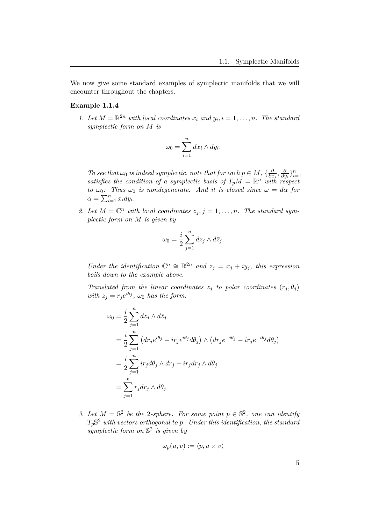We now give some standard examples of symplectic manifolds that we will encounter throughout the chapters.

### <span id="page-7-0"></span>**Example 1.1.4**

*1.* Let  $M = \mathbb{R}^{2n}$  *with local coordinates*  $x_i$  *and*  $y_i$ ,  $i = 1, \ldots, n$ *. The standard symplectic form on M is*

$$
\omega_0 = \sum_{i=1}^n dx_i \wedge dy_i.
$$

*To see that*  $\omega_0$  *is indeed symplectic, note that for each*  $p \in M$ ,  $\{\frac{\delta}{\partial n}\}$ *∂x<sup>i</sup> , ∂ To see that*  $\omega_0$  *is indeed symplectic, note that for each*  $p \in M$ ,  $\{\frac{\partial}{\partial x_i}, \frac{\partial}{\partial y_i}\}_{i=1}^n$  *satisfies the condition of a symplectic basis of*  $T_pM = \mathbb{R}^n$  *with respect to*  $\omega_0$ *. Thus*  $\omega_0$  *is nondegenerate. And it is closed since*  $\omega = d\alpha$  *for*  $\alpha = \sum_{i=1}^n x_i dy_i$ .

2. Let  $M = \mathbb{C}^n$  with local coordinates  $z_j, j = 1, \ldots, n$ . The standard sym*plectic form on M is given by*

$$
\omega_0 = \frac{i}{2} \sum_{j=1}^n dz_j \wedge d\bar{z}_j.
$$

*Under the identification*  $\mathbb{C}^n \cong \mathbb{R}^{2n}$  *and*  $z_j = x_j + iy_j$ *, this expression boils down to the example above.*

*Translated from the linear coordinates*  $z_j$  *to polar coordinates*  $(r_j, \theta_j)$ *with*  $z_j = r_j e^{i\theta_j}$ ,  $\omega_0$  *has the form:* 

$$
\omega_0 = \frac{i}{2} \sum_{j=1}^n dz_j \wedge d\bar{z}_j
$$
  
\n
$$
= \frac{i}{2} \sum_{j=1}^n (dr_j e^{i\theta_j} + ir_j e^{i\theta_j} d\theta_j) \wedge (dr_j e^{-i\theta_j} - ir_j e^{-i\theta_j} d\theta_j)
$$
  
\n
$$
= \frac{i}{2} \sum_{j=1}^n ir_j d\theta_j \wedge dr_j - ir_j dr_j \wedge d\theta_j
$$
  
\n
$$
= \sum_{j=1}^n r_j dr_j \wedge d\theta_j
$$

*3.* Let  $M = \mathbb{S}^2$  be the 2*-sphere. For some point*  $p \in \mathbb{S}^2$ , one can identify *Tp*S <sup>2</sup> *with vectors orthogonal to p. Under this identification, the standard symplectic form on* S 2 *is given by*

$$
\omega_p(u,v) := \langle p, u \times v \rangle
$$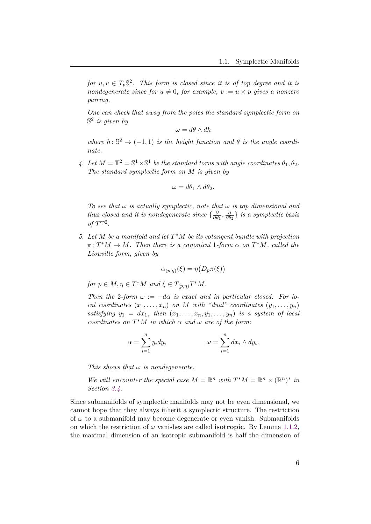*for*  $u, v \in T_p \mathbb{S}^2$ . This form is closed since it is of top degree and it is *nondegenerate since for*  $u \neq 0$ , *for example*,  $v := u \times p$  *gives a nonzero pairing.*

*One can check that away from the poles the standard symplectic form on* S 2 *is given by*

 $ω = dθ ∧ dh$ 

*where*  $h: \mathbb{S}^2 \to (-1,1)$  *is the height function and*  $\theta$  *is the angle coordinate.*

*4*. Let  $M = \mathbb{T}^2 = \mathbb{S}^1 \times \mathbb{S}^1$  be the standard torus with angle coordinates  $\theta_1, \theta_2$ . *The standard symplectic form on M is given by*

$$
\omega = d\theta_1 \wedge d\theta_2.
$$

*To see that*  $\omega$  *is actually symplectic, note that*  $\omega$  *is top dimensional and thus closed and it is nondegenerate since*  $\{\frac{\delta}{\partial \theta}$  $\frac{\partial}{\partial \theta_1}, \frac{\partial}{\partial \theta}$ *∂θ*<sup>2</sup> *} is a symplectic basis* of  $T\mathbb{T}^2$ .

*5. Let M be a manifold and let T <sup>∗</sup>M be its cotangent bundle with projection*  $\pi: T^*M \to M$ . Then there is a canonical 1*-form*  $\alpha$  *on*  $T^*M$ *, called the Liouville form, given by*

$$
\alpha_{(p,\eta)}(\xi) = \eta(D_p \pi(\xi))
$$

*for*  $p \in M$ ,  $\eta \in T^*M$  *and*  $\xi \in T_{(p,\eta)}T^*M$ .

*Then the* 2*-form*  $\omega := -d\alpha$  *is exact and in particular closed. For local coordinates*  $(x_1, \ldots, x_n)$  *on M with* "*dual*" *coordinates*  $(y_1, \ldots, y_n)$ *satisfying*  $y_1 = dx_1$ , then  $(x_1, \ldots, x_n, y_1, \ldots, y_n)$  *is a system of local coordinates on*  $T^*M$  *in which*  $\alpha$  *and*  $\omega$  *are of the form:* 

$$
\alpha = \sum_{i=1}^{n} y_i dy_i \qquad \qquad \omega = \sum_{i=1}^{n} dx_i \wedge dy_i.
$$

*This shows that ω is nondegenerate.*

*We will encounter the special case*  $M = \mathbb{R}^n$  *with*  $T^*M = \mathbb{R}^n \times (\mathbb{R}^n)^*$  *in Section [3.4.](#page-42-0)*

Since submanifolds of symplectic manifolds may not be even dimensional, we cannot hope that they always inherit a symplectic structure. The restriction of *ω* to a submanifold may become degenerate or even vanish. Submanifolds on which the restriction of  $\omega$  vanishes are called **isotropic**. By Lemma [1.1.2](#page-5-3), the maximal dimension of an isotropic submanifold is half the dimension of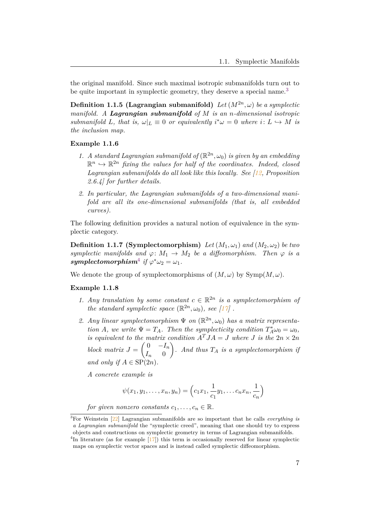the original manifold. Since such maximal isotropic submanifolds turn out to be quite important in symplectic geometry, they deserve a special name.<sup>[3](#page-9-0)</sup>

**Definition 1.1.5 (Lagrangian submanifold)** Let  $(M^{2n}, \omega)$  be a symplectic *manifold. A Lagrangian submanifold of M is an n-dimensional isotropic submanifold L, that is,*  $\omega|_L \equiv 0$  *or equivalently*  $i^*\omega = 0$  *where*  $i: L \hookrightarrow M$  *is the inclusion map.*

#### **Example 1.1.6**

- 1. *A standard Lagrangian submanifold of*  $(\mathbb{R}^{2n}, \omega_0)$  *is given by an embedding*  $\mathbb{R}^n \hookrightarrow \mathbb{R}^{2n}$  *fixing the values for half of the coordinates. Indeed, closed Lagrangian submanifolds do all look like this locally. See [[12,](#page-49-4) Proposition 2.6.4] for further details.*
- *2. In particular, the Lagrangian submanifolds of a two-dimensional manifold are all its one-dimensional submanifolds (that is, all embedded curves).*

The following definition provides a natural notion of equivalence in the symplectic category.

**Definition 1.1.7 (Symplectomorphism)** *Let*  $(M_1, \omega_1)$  *and*  $(M_2, \omega_2)$  *be two symplectic manifolds and*  $\varphi: M_1 \to M_2$  *be a diffeomorphism. Then*  $\varphi$  *is a*  $symplectomorphism^4$  $symplectomorphism^4$  if  $\varphi^* \omega_2 = \omega_1$ .

We denote the group of symplectomorphisms of  $(M, \omega)$  by  $Symp(M, \omega)$ .

#### **Example 1.1.8**

- *1. Any translation by some constant*  $c \in \mathbb{R}^{2n}$  *is a symplectomorphism of the standard symplectic space*  $(\mathbb{R}^{2n}, \omega_0)$ *, see* [[17\]](#page-49-5) *.*
- 2. *Any linear symplectomorphism*  $\Psi$  *on*  $(\mathbb{R}^{2n}, \omega_0)$  *has a matrix representation A,* we write  $\Psi = T_A$ *. Then the symplecticity condition*  $T_A^* \omega_0 = \omega_0$ *, is equivalent to the matrix condition*  $A<sup>T</sup> J A = J$  *where J is the*  $2n \times 2n$ *block matrix J* =  $\int 0$  −*In*  $I_n$  0  $\setminus$ *. And thus T<sup>A</sup> is a symplectomorphism if and only if*  $A \in \text{SP}(2n)$

*A concrete example is*

$$
\psi(x_1, y_1, \ldots, x_n, y_n) = (c_1 x_1, \frac{1}{c_1} y_1, \ldots c_n x_n, \frac{1}{c_n})
$$

*for given nonzero constants*  $c_1, \ldots, c_n \in \mathbb{R}$ .

<span id="page-9-0"></span><sup>3</sup>For Weinstein [\[22](#page-49-6)] Lagrangian submanifolds are so important that he calls *everything is a Lagrangian submanifold* the "symplectic creed", meaning that one should try to express objects and constructions on symplectic geometry in terms of Lagrangian submanifolds.

<span id="page-9-1"></span><sup>&</sup>lt;sup>4</sup>In literature (as for example [\[17\]](#page-49-5)) this term is occasionally reserved for linear symplectic maps on symplectic vector spaces and is instead called symplectic diffeomorphism.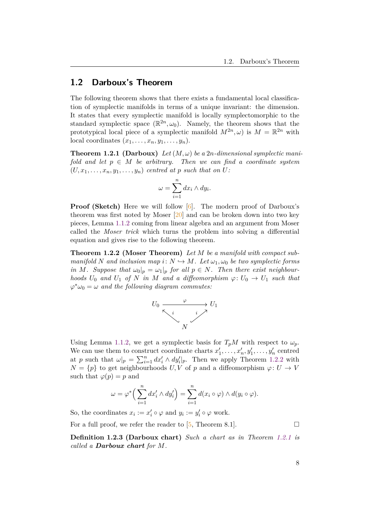# <span id="page-10-0"></span>**1.2 Darboux's Theorem**

The following theorem shows that there exists a fundamental local classification of symplectic manifolds in terms of a unique invariant: the dimension. It states that every symplectic manifold is locally symplectomorphic to the standard symplectic space  $(\mathbb{R}^{2n}, \omega_0)$ . Namely, the theorem shows that the prototypical local piece of a symplectic manifold  $M^{2n}, \omega$  is  $M = \mathbb{R}^{2n}$  with local coordinates  $(x_1, \ldots, x_n, y_1, \ldots, y_n)$ .

<span id="page-10-1"></span>**Theorem 1.2.1 (Darboux)** *Let*  $(M, \omega)$  *be a* 2*n*-dimensional symplectic mani*fold and let*  $p \in M$  *be arbitrary. Then we can find a coordinate system*  $(U, x_1, \ldots, x_n, y_1, \ldots, y_n)$  *centred at p such that on U:* 

$$
\omega = \sum_{i=1}^n dx_i \wedge dy_i.
$$

**Proof (Sketch)** Here we will follow [[6](#page-48-4)]. The modern proof of Darboux's theorem was first noted by Moser [\[20](#page-49-7)] and can be broken down into two key pieces, Lemma [1.1.2](#page-5-3) coming from linear algebra and an argument from Moser called the *Moser trick* which turns the problem into solving a differential equation and gives rise to the following theorem.

<span id="page-10-2"></span>**Theorem 1.2.2 (Moser Theorem)** *Let M be a manifold with compact submanifold N and inclusion map*  $i: N \rightarrow M$ *. Let*  $\omega_1, \omega_0$  *be two symplectic forms in M. Suppose that*  $\omega_0|_p = \omega_1|_p$  *for all*  $p \in N$ *. Then there exist neighbourhoods*  $U_0$  *and*  $U_1$  *of*  $N$  *in*  $M$  *and a diffeomorphism*  $\varphi: U_0 \to U_1$  *such that*  $\varphi^* \omega_0 = \omega$  *and the following diagram commutes:* 



Using Lemma [1.1.2,](#page-5-3) we get a symplectic basis for  $T_pM$  with respect to  $\omega_p$ . We can use them to construct coordinate charts  $x'_1, \ldots, x'_n, y'_1, \ldots, y'_n$  centred at *p* such that  $\omega|_p = \sum_{i=1}^n dx'_i \wedge dy'_i|_p$ . Then we apply Theorem [1.2.2](#page-10-2) with  $N = \{p\}$  to get neighbourhoods *U, V* of *p* and a diffeomorphism  $\varphi: U \to V$ such that  $\varphi(p) = p$  and

$$
\omega = \varphi^* \Big( \sum_{i=1}^n dx_i' \wedge dy_i' \Big) = \sum_{i=1}^n d(x_i \circ \varphi) \wedge d(y_i \circ \varphi).
$$

So, the coordinates  $x_i := x'_i \circ \varphi$  and  $y_i := y'_i \circ \varphi$  work.

For a full proof, we refer the reader to  $[5,$  $[5,$  $[5,$  Theorem 8.1].  $\Box$ 

**Definition 1.2.3 (Darboux chart)** *Such a chart as in Theorem [1.2.1](#page-10-1) is called a Darboux chart for M.*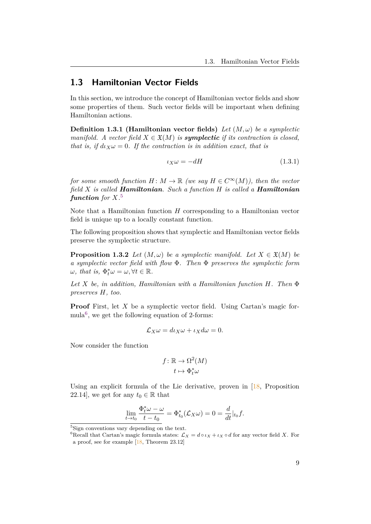# <span id="page-11-0"></span>**1.3 Hamiltonian Vector Fields**

In this section, we introduce the concept of Hamiltonian vector fields and show some properties of them. Such vector fields will be important when defining Hamiltonian actions.

**Definition 1.3.1 (Hamiltonian vector fields)** *Let*  $(M, \omega)$  *be a symplectic manifold.* A vector field  $X \in \mathfrak{X}(M)$  *is symplectic if its contraction is closed, that is, if*  $d\iota_X \omega = 0$ *. If the contraction is in addition exact, that is* 

<span id="page-11-4"></span>
$$
\iota_X \omega = -dH \tag{1.3.1}
$$

*for some smooth function*  $H: M \to \mathbb{R}$  *(we say*  $H \in C^{\infty}(M)$ *), then the vector field X is called Hamiltonian. Such a function H is called a Hamiltonian function for X.* [5](#page-11-1)

Note that a Hamiltonian function *H* corresponding to a Hamiltonian vector field is unique up to a locally constant function.

The following proposition shows that symplectic and Hamiltonian vector fields preserve the symplectic structure.

<span id="page-11-3"></span>**Proposition 1.3.2** *Let*  $(M, \omega)$  *be a symplectic manifold. Let*  $X \in \mathfrak{X}(M)$  *be a symplectic vector field with flow* Φ*. Then* Φ *preserves the symplectic form*  $\omega$ *, that is,*  $\Phi_t^* \omega = \omega, \forall t \in \mathbb{R}$ .

*Let X be, in addition, Hamiltonian with a Hamiltonian function H. Then* Φ *preserves H, too.*

**Proof** First, let *X* be a symplectic vector field. Using Cartan's magic for-mula<sup>[6](#page-11-2)</sup>, we get the following equation of 2-forms:

$$
\mathcal{L}_X \omega = d\iota_X \omega + \iota_X d\omega = 0.
$$

Now consider the function

$$
f: \mathbb{R} \to \Omega^2(M)
$$

$$
t \mapsto \Phi_t^* \omega
$$

Using an explicit formula of the Lie derivative, proven in [[18,](#page-49-8) Proposition 22.14], we get for any  $t_0 \in \mathbb{R}$  that

$$
\lim_{t \to t_0} \frac{\Phi_t^* \omega - \omega}{t - t_0} = \Phi_{t_0}^*(\mathcal{L}_X \omega) = 0 = \frac{d}{dt}|_{t_0} f.
$$

<span id="page-11-1"></span><sup>&</sup>lt;sup>5</sup>Sign conventions vary depending on the text.

<span id="page-11-2"></span><sup>&</sup>lt;sup>6</sup>Recall that Cartan's magic formula states:  $\mathcal{L}_X = d \circ \iota_X + \iota_X \circ d$  for any vector field *X*. For a proof, see for example [\[18](#page-49-8), Theorem 23.12]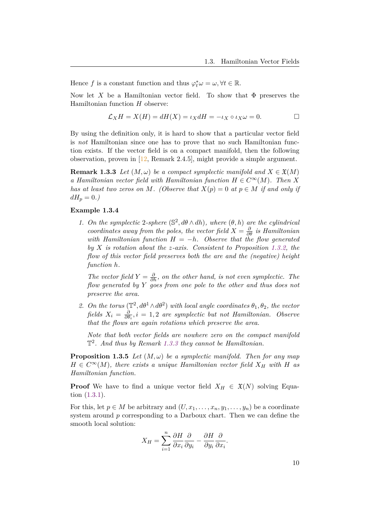Hence *f* is a constant function and thus  $\varphi_t^* \omega = \omega, \forall t \in \mathbb{R}$ .

Now let X be a Hamiltonian vector field. To show that  $\Phi$  preserves the Hamiltonian function *H* observe:

$$
\mathcal{L}_X H = X(H) = dH(X) = \iota_X dH = -\iota_X \circ \iota_X \omega = 0.
$$

By using the definition only, it is hard to show that a particular vector field is *not* Hamiltonian since one has to prove that no such Hamiltonian function exists. If the vector field is on a compact manifold, then the following observation, proven in [\[12](#page-49-4), Remark 2.4.5], might provide a simple argument.

<span id="page-12-0"></span>**Remark 1.3.3** *Let*  $(M, \omega)$  *be a compact symplectic manifold and*  $X \in \mathfrak{X}(M)$ *a Hamiltonian vector field with Hamiltonian function*  $H \in C^{\infty}(M)$ *. Then X has at least two zeros on M. (Observe that*  $X(p) = 0$  *at*  $p \in M$  *if and only if*  $dH_p = 0.$ 

#### <span id="page-12-1"></span>**Example 1.3.4**

*1. On the symplectic* 2-sphere  $(\mathbb{S}^2, d\theta \wedge dh)$ *, where*  $(\theta, h)$  *are the cylindrical coordinates away from the poles, the vector field*  $X = \frac{\partial}{\partial \theta}$  *is Hamiltonian with Hamiltonian function H* = *−h. Observe that the flow generated by X is rotation about the z-axis. Consistent to Proposition [1.3.2](#page-11-3), the flow of this vector field preserves both the are and the (negative) height function h.*

*The vector field*  $Y = \frac{\partial}{\partial h}$ *, on the other hand, is not even symplectic. The flow generated by Y goes from one pole to the other and thus does not preserve the area.*

2. On the torus  $(\mathbb{T}^2, d\theta^1 \wedge d\theta^2)$  *with local angle coordinates*  $\theta_1, \theta_2$ *, the vector*  $fields\ X_i = \frac{\partial}{\partial t}$ *∂θ<sup>i</sup> , i* = 1*,* 2 *are symplectic but not Hamiltonian. Observe that the flows are again rotations which preserve the area.*

*Note that both vector fields are nowhere zero on the compact manifold* T 2 *. And thus by Remark [1.3.3](#page-12-0) they cannot be Hamiltonian.*

**Proposition 1.3.5** *Let*  $(M, \omega)$  *be a symplectic manifold. Then for any map*  $H \in C^{\infty}(M)$ , there exists a unique Hamiltonian vector field  $X_H$  with H as *Hamiltonian function.*

**Proof** We have to find a unique vector field  $X_H \in \mathfrak{X}(N)$  solving Equation ([1.3.1\)](#page-11-4).

For this, let  $p \in M$  be arbitrary and  $(U, x_1, \ldots, x_n, y_1, \ldots, y_n)$  be a coordinate system around *p* corresponding to a Darboux chart. Then we can define the smooth local solution:

$$
X_H = \sum_{i=1}^n \frac{\partial H}{\partial x_i} \frac{\partial}{\partial y_i} - \frac{\partial H}{\partial y_i} \frac{\partial}{\partial x_i}.
$$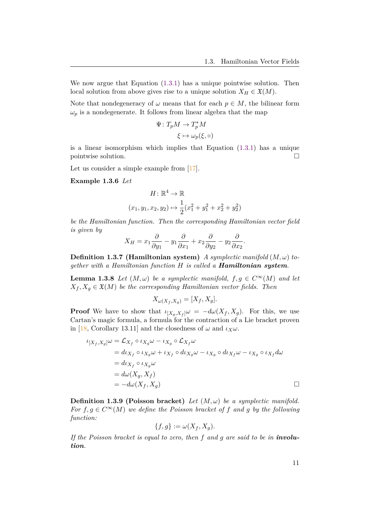We now argue that Equation [\(1.3.1\)](#page-11-4) has a unique pointwise solution. Then local solution from above gives rise to a unique solution  $X_H \in \mathfrak{X}(M)$ .

Note that nondegeneracy of  $\omega$  means that for each  $p \in M$ , the bilinear form  $\omega_p$  is a nondegenerate. It follows from linear algebra that the map

$$
\Psi \colon T_p M \to T_p^* M
$$

$$
\xi \mapsto \omega_p(\xi, \circ)
$$

is a linear isomorphism which implies that Equation [\(1.3.1\)](#page-11-4) has a unique pointwise solution.  $\Box$ 

Let us consider a simple example from [[17](#page-49-5)].

#### **Example 1.3.6** *Let*

$$
H: \mathbb{R}^{4} \to \mathbb{R}
$$
  
 $(x_1, y_1, x_2, y_2) \mapsto \frac{1}{2}(x_1^2 + y_1^2 + x_2^2 + y_2^2)$ 

*be the Hamiltonian function. Then the corresponding Hamiltonian vector field is given by*

$$
X_H = x_1 \frac{\partial}{\partial y_1} - y_1 \frac{\partial}{\partial x_1} + x_2 \frac{\partial}{\partial y_2} - y_2 \frac{\partial}{\partial x_2}.
$$

**Definition 1.3.7 (Hamiltonian system)** *A symplectic manifold*  $(M, \omega)$  *together with a Hamiltonian function H is called a Hamiltonian system.*

<span id="page-13-0"></span>**Lemma 1.3.8** *Let*  $(M, \omega)$  *be a symplectic manifold,*  $f, g \in C^{\infty}(M)$  *and let*  $X_f, X_g \in \mathfrak{X}(M)$  *be the corresponding Hamiltonian vector fields. Then* 

$$
X_{\omega(X_f,X_g)} = [X_f,X_g].
$$

**Proof** We have to show that  $\iota_{[X_g,X_f]}\omega = -d\omega(X_f,X_g)$ . For this, we use Cartan's magic formula, a formula for the contraction of a Lie bracket proven in [[18,](#page-49-8) Corollary 13.11] and the closedness of  $\omega$  and  $\iota_X \omega$ .

$$
\iota_{[X_f, X_g]} \omega = \mathcal{L}_{X_f} \circ \iota_{X_g} \omega - \iota_{X_g} \circ \mathcal{L}_{X_f} \omega
$$
  
=  $d\iota_{X_f} \circ \iota_{X_g} \omega + \iota_{X_f} \circ d\iota_{X_g} \omega - \iota_{X_g} \circ d\iota_{X_f} \omega - \iota_{X_g} \circ \iota_{X_f} d\omega$   
=  $d\iota_{X_f} \circ \iota_{X_g} \omega$   
=  $d\omega(X_g, X_f)$   
=  $-d\omega(X_f, X_g)$ 

**Definition 1.3.9 (Poisson bracket)** *Let*  $(M, \omega)$  *be a symplectic manifold. For*  $f, g \in C^{\infty}(M)$  *we define the Poisson bracket of f and g by the following function:*

$$
\{f,g\} := \omega(X_f, X_g).
$$

*If the Poisson bracket is equal to zero, then f and g are said to be in involution.*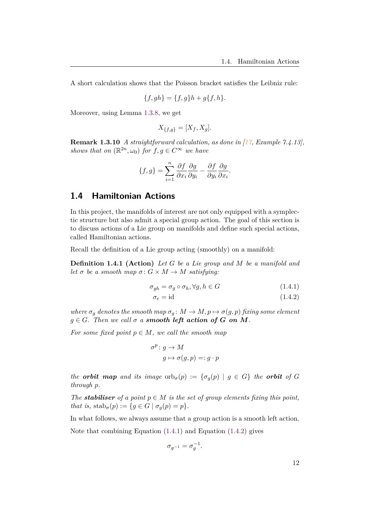A short calculation shows that the Poisson bracket satisfies the Leibniz rule:

$$
\{f, gh\} = \{f, g\}h + g\{f, h\}.
$$

Moreover, using Lemma [1.3.8,](#page-13-0) we get

$$
X_{\{f,g\}} = [X_f, X_g].
$$

**Remark 1.3.10** *A straightforward calculation, as done in [[17,](#page-49-5) Example 7.4.13], shows that on*  $(\mathbb{R}^{2n}, \omega_0)$  *for*  $f, g \in C^\infty$  *we have* 

$$
\{f,g\} = \sum_{i=1}^{n} \frac{\partial f}{\partial x_i} \frac{\partial g}{\partial y_i} - \frac{\partial f}{\partial y_i} \frac{\partial g}{\partial x_i}.
$$

# <span id="page-14-0"></span>**1.4 Hamiltonian Actions**

In this project, the manifolds of interest are not only equipped with a symplectic structure but also admit a special group action. The goal of this section is to discuss actions of a Lie group on manifolds and define such special actions, called Hamiltonian actions.

Recall the definition of a Lie group acting (smoothly) on a manifold:

**Definition 1.4.1 (Action)** *Let G be a Lie group and M be a manifold and let*  $\sigma$  *be a smooth map*  $\sigma: G \times M \rightarrow M$  *satisfying:* 

$$
\sigma_{gh} = \sigma_g \circ \sigma_h, \forall g, h \in G \tag{1.4.1}
$$

<span id="page-14-2"></span><span id="page-14-1"></span>
$$
\sigma_e = \text{id} \tag{1.4.2}
$$

*where*  $\sigma_q$  *denotes the smooth map*  $\sigma_q$ :  $M \to M$ ,  $p \mapsto \sigma(q, p)$  *fixing some element*  $g \in G$ *. Then we call*  $\sigma$  *a smooth left action of**G**on**M.* 

*For some fixed point*  $p \in M$ *, we call the smooth map* 

$$
\begin{aligned}\n\sigma^p \colon g &\to M \\
g &\mapsto \sigma(g, p) =: g \cdot p\n\end{aligned}
$$

*the orbit* **map** and its image  $orb_{\sigma}(p) := {\sigma_q(p) | q \in G}$  *the orbit of G through p.*

*The stabiliser* of a point  $p \in M$  *is the set of group elements fixing this point, that is,*  $stab_{\sigma}(p) := \{q \in G \mid \sigma_q(p) = p\}.$ 

In what follows, we always assume that a group action is a smooth left action.

Note that combining Equation ([1.4.1](#page-14-1)) and Equation ([1.4.2\)](#page-14-2) gives

$$
\sigma_{g^{-1}} = \sigma_g^{-1}.
$$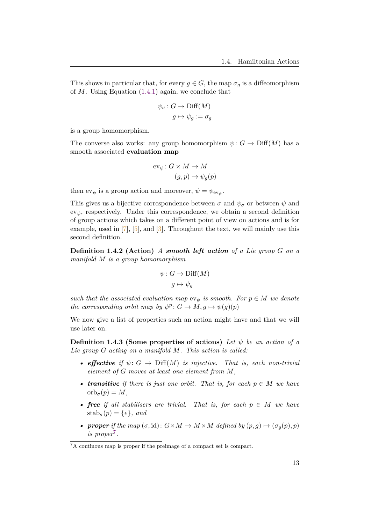This shows in particular that, for every  $g \in G$ , the map  $\sigma_q$  is a diffeomorphism of *M*. Using Equation ([1.4.1](#page-14-1)) again, we conclude that

$$
\psi_{\sigma} \colon G \to \text{Diff}(M)
$$

$$
g \mapsto \psi_g := \sigma_g
$$

is a group homomorphism.

The converse also works: any group homomorphism  $\psi: G \to \text{Diff}(M)$  has a smooth associated **evaluation map**

$$
ev_{\psi} \colon G \times M \to M
$$

$$
(g, p) \mapsto \psi_{g}(p)
$$

then  $ev_{\psi}$  is a group action and moreover,  $\psi = \psi_{ev_{\psi}}$ .

This gives us a bijective correspondence between  $\sigma$  and  $\psi_{\sigma}$  or between  $\psi$  and  $ev_{\psi}$ , respectively. Under this correspondence, we obtain a second definition of group actions which takes on a different point of view on actions and is for example, used in [[7](#page-48-3)], [\[5\]](#page-48-2), and [[3](#page-48-5)]. Throughout the text, we will mainly use this second definition.

**Definition 1.4.2 (Action)** *A smooth left action of a Lie group G on a manifold M is a group homomorphism*

$$
\psi\colon G\to \operatorname{Diff}(M)
$$
 
$$
g\mapsto \psi_g
$$

*such that the associated evaluation map*  $ev_{\psi}$  *is smooth. For*  $p \in M$  *we denote the corresponding orbit map by*  $\psi^p$ :  $G \to M$ ,  $g \mapsto \psi(g)(p)$ 

We now give a list of properties such an action might have and that we will use later on.

**Definition 1.4.3 (Some properties of actions)** Let  $\psi$  be an action of a *Lie group G acting on a manifold M. This action is called:*

- *effective* if  $\psi: G \to \text{Diff}(M)$  is injective. That is, each non-trivial *element of G moves at least one element from M,*
- *transitive* if there is just one orbit. That is, for each  $p \in M$  we have  $orb_{\sigma}(p) = M$ ,
- *free* if all stabilisers are trivial. That is, for each  $p \in M$  we have  $stab_{\sigma}(p) = \{e\}$ *, and*
- *proper* if the map  $(\sigma, id)$ :  $G \times M \rightarrow M \times M$  *defined by*  $(p, q) \mapsto (\sigma_q(p), p)$ *is proper*[7](#page-15-0) *.*

<span id="page-15-0"></span> $\sqrt{7A}$  continous map is proper if the preimage of a compact set is compact.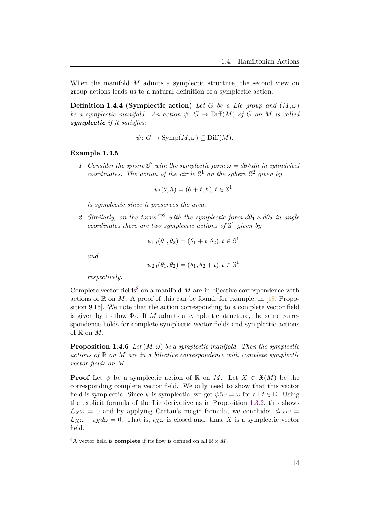When the manifold *M* admits a symplectic structure, the second view on group actions leads us to a natural definition of a symplectic action.

**Definition 1.4.4 (Symplectic action)** *Let G be a Lie group and*  $(M,\omega)$ *be a symplectic manifold. An action*  $\psi: G \to \text{Diff}(M)$  *of G on M is called symplectic if it satisfies:*

$$
\psi \colon G \to \text{Symp}(M,\omega) \subseteq \text{Diff}(M).
$$

#### <span id="page-16-2"></span>**Example 1.4.5**

*1. Consider the sphere*  $\mathbb{S}^2$  *with the symplectic form*  $\omega = d\theta \wedge dh$  *in cylindrical coordinates. The action of the circle*  $\mathbb{S}^1$  *on the sphere*  $\mathbb{S}^2$  *given by* 

$$
\psi_t(\theta, h) = (\theta + t, h), t \in \mathbb{S}^1
$$

*is symplectic since it preserves the area.*

2. *Similarly, on the torus*  $\mathbb{T}^2$  *with the symplectic form*  $d\theta_1 \wedge d\theta_2$  *in angle coordinates there are two symplectic actions of* S 1 *given by*

$$
\psi_{1,t}(\theta_1, \theta_2) = (\theta_1 + t, \theta_2), t \in \mathbb{S}^1
$$

*and*

$$
\psi_{2,t}(\theta_1, \theta_2) = (\theta_1, \theta_2 + t), t \in \mathbb{S}^1
$$

*respectively.*

Complete vector fields<sup>[8](#page-16-0)</sup> on a manifold  $M$  are in bijective correspondence with actions of  $\mathbb R$  on  $M$ . A proof of this can be found, for example, in [\[18](#page-49-8), Proposition 9.15]. We note that the action corresponding to a complete vector field is given by its flow  $\Phi_t$ . If *M* admits a symplectic structure, the same correspondence holds for complete symplectic vector fields and symplectic actions of R on *M*.

<span id="page-16-1"></span>**Proposition 1.4.6** *Let*  $(M, \omega)$  *be a symplectic manifold. Then the symplectic actions of* R *on M are in a bijective correspondence with complete symplectic vector fields on M.*

**Proof** Let  $\psi$  be a symplectic action of R on *M*. Let  $X \in \mathfrak{X}(M)$  be the corresponding complete vector field. We only need to show that this vector field is symplectic. Since  $\psi$  is symplectic, we get  $\psi_t^* \omega = \omega$  for all  $t \in \mathbb{R}$ . Using the explicit formula of the Lie derivative as in Proposition [1.3.2](#page-11-3), this shows  $\mathcal{L}_X \omega = 0$  and by applying Cartan's magic formula, we conclude:  $d\iota_X \omega =$  $\mathcal{L}_X \omega - \iota_X d\omega = 0$ . That is,  $\iota_X \omega$  is closed and, thus, *X* is a symplectic vector field.

<span id="page-16-0"></span> $\overline{8}$ A vector field is **complete** if its flow is defined on all  $\mathbb{R} \times M$ .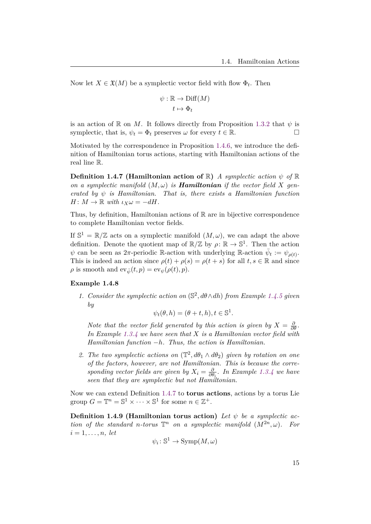Now let  $X \in \mathfrak{X}(M)$  be a symplectic vector field with flow  $\Phi_t$ . Then

$$
\psi : \mathbb{R} \to \text{Diff}(M)
$$

$$
t \mapsto \Phi_t
$$

is an action of R on *M*. It follows directly from Proposition [1.3.2](#page-11-3) that  $\psi$  is symplectic, that is,  $\psi_t = \Phi_t$  preserves  $\omega$  for every  $t \in \mathbb{R}$ . □

<span id="page-17-0"></span>Motivated by the correspondence in Proposition [1.4.6](#page-16-1), we introduce the definition of Hamiltonian torus actions, starting with Hamiltonian actions of the real line R.

**Definition 1.4.7 (Hamiltonian action of**  $\mathbb{R}$ **)** *A symplectic action*  $\psi$  of  $\mathbb{R}$ *on a symplectic manifold*  $(M, \omega)$  *is Hamiltonian if the vector field X generated by*  $\psi$  *is Hamiltonian. That is, there exists a Hamiltonian function*  $H: M \to \mathbb{R}$  *with*  $\iota_X \omega = -dH$ .

Thus, by definition, Hamiltonian actions of  $\mathbb R$  are in bijective correspondence to complete Hamiltonian vector fields.

If  $\mathbb{S}^1 = \mathbb{R}/\mathbb{Z}$  acts on a symplectic manifold  $(M, \omega)$ , we can adapt the above definition. Denote the quotient map of  $\mathbb{R}/\mathbb{Z}$  by  $\rho \colon \mathbb{R} \to \mathbb{S}^1$ . Then the action  $\psi$  can be seen as  $2\pi$ -periodic R-action with underlying R-action  $\bar{\psi}_t := \psi_{\rho(t)}$ . This is indeed an action since  $\rho(t) + \rho(s) = \rho(t+s)$  for all  $t, s \in \mathbb{R}$  and since  $\rho$  is smooth and  $ev_{\psi}(t,p) = ev_{\psi}(\rho(t),p).$ 

#### <span id="page-17-2"></span>**Example 1.4.8**

*1. Consider the symplectic action on*  $(\mathbb{S}^2, d\theta \wedge dh)$  *from Example* [1.4.5](#page-16-2) *given by*

 $\psi_t(\theta, h) = (\theta + t, h), t \in \mathbb{S}^1$ .

*Note that the vector field generated by this action is given by*  $X = \frac{\partial}{\partial \theta}$ . *In Example [1.3.4](#page-12-1) we have seen that X is a Hamiltonian vector field with Hamiltonian function −h. Thus, the action is Hamiltonian.*

2. The two symplectic actions on  $(\mathbb{T}^2, d\theta_1 \wedge d\theta_2)$  given by rotation on one *of the factors, however, are not Hamiltonian. This is because the corresponding vector fields are given by*  $X_i = \frac{\partial}{\partial t}$ *∂θ<sup>i</sup> . In Example [1.3.4](#page-12-1) we have seen that they are symplectic but not Hamiltonian.*

Now we can extend Definition [1.4.7](#page-17-0) to **torus actions**, actions by a torus Lie group  $G = \mathbb{T}^n = \mathbb{S}^1 \times \cdots \times \mathbb{S}^1$  for some  $n \in \mathbb{Z}^+$ .

<span id="page-17-1"></span>**Definition 1.4.9 (Hamiltonian torus action)** *Let ψ be a symplectic action of the standard n-torus*  $\mathbb{T}^n$  *on a symplectic manifold*  $(M^{2n}, \omega)$ *. For*  $i = 1, \ldots, n$ *, let* 

$$
\psi_i \colon \mathbb{S}^1 \to \text{Symp}(M,\omega)
$$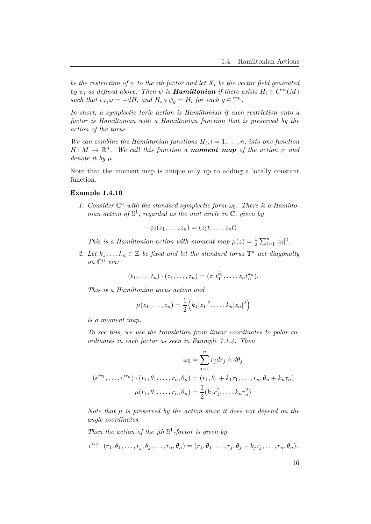*be the restriction of*  $\psi$  *to the ith factor and let*  $X_i$  *be the vector field generated by*  $\bar{\psi}_i$  *as defined above. Then*  $\psi$  *is Hamiltonian if there exists*  $H_i \in C^{\infty}(M)$ *such that*  $\iota_{X_i} \omega = -dH_i$  *and*  $H_i \circ \psi_g = H_i$  *for each*  $g \in \mathbb{T}^n$ *.* 

*In short, a symplectic toric action is Hamiltonian if each restriction onto a factor is Hamiltonian with a Hamiltonian function that is preserved by the action of the torus.*

*We can combine the Hamiltonian functions*  $H_i$ ,  $i = 1, \ldots, n$ *, into one function*  $H: M \to \mathbb{R}^n$ . We call this function a **moment map** of the action  $\psi$  and *denote it by*  $\mu$ *.* 

Note that the moment map is unique only up to adding a locally constant function.

#### <span id="page-18-0"></span>**Example 1.4.10**

1. Consider  $\mathbb{C}^n$  with the standard symplectic form  $\omega_0$ . There is a Hamilto*nian action of* S 1 *, regarded as the unit circle in* C*, given by*

$$
\psi_t(z_1,\ldots,z_n)=(z_1t,\ldots,z_nt)
$$

*This is a Hamiltonian action with moment map*  $\mu(z) = \frac{1}{2} \sum_{i=1}^{n} |z_i|^2$ *.* 

2. Let  $k_1 \ldots, k_n \in \mathbb{Z}$  be fixed and let the standard torus  $\mathbb{T}^n$  act diagonally *on*  $\mathbb{C}^n$  *via*:

$$
(t_1,\ldots,t_n)\cdot(z_1,\ldots,z_n)=(z_1t_1^{k_1},\ldots,z_nt_n^{k_n}).
$$

*This is a Hamiltonian torus action and*

$$
\mu(z_1,\ldots,z_n) = \frac{1}{2} (k_1 |z_1|^2,\ldots,k_n |z_n|^2)
$$

*is a moment map.*

*To see this, we use the translation from linear coordinates to polar coordinates in each factor as seen in Example [1.1.4.](#page-7-0) Then*

$$
\omega_0 = \sum_{j=1}^n r_j dr_j \wedge d\theta_j
$$

$$
(e^{i\tau_1}, \dots, e^{i\tau_n}) \cdot (r_1, \theta_1, \dots, r_n, \theta_n) = (r_1, \theta_1 + k_1 \tau_1, \dots, r_n, \theta_n + k_n \tau_n)
$$

$$
\mu(r_1, \theta_1, \dots, r_n, \theta_n) = \frac{1}{2} (k_1 r_1^2, \dots, k_n r_n^2)
$$

*Note that*  $\mu$  *is preserved by the action since it does not depend on the angle coordinates.*

*Then the action of the jth* S 1 *-factor is given by*

$$
e^{i\tau_j} \cdot (r_1, \theta_1, \dots, r_j, \theta_j, \dots, r_n, \theta_n) = (r_1, \theta_1, \dots, r_j, \theta_j + k_j \tau_j, \dots, r_n, \theta_n).
$$

$$
16\quad
$$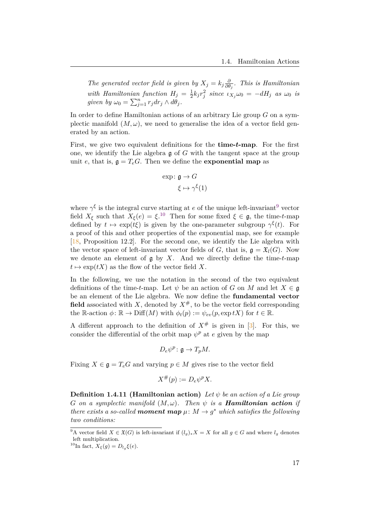*The generated vector field is given by*  $X_j = k_j \frac{\delta}{\partial \theta}$ *∂θ<sup>j</sup> . This is Hamiltonian with Hamiltonian function*  $H_j = \frac{1}{2}$  $\frac{1}{2}k_jr_j^2$  since  $\iota_{X_j}\omega_0 = -dH_j$  as  $\omega_0$  is  $given$   $by$   $\omega_0 = \sum_{j=1}^n r_j dr_j \wedge d\theta_j$ .

In order to define Hamiltonian actions of an arbitrary Lie group *G* on a symplectic manifold  $(M, \omega)$ , we need to generalise the idea of a vector field generated by an action.

First, we give two equivalent definitions for the **time-***t***-map**. For the first one, we identify the Lie algebra g of *G* with the tangent space at the group unit *e*, that is,  $g = T_e G$ . Then we define the **exponential map** as

$$
\exp: \mathfrak{g} \to G
$$

$$
\xi \mapsto \gamma^{\xi}(1)
$$

where  $\gamma^{\xi}$  is the integral curve starting at *e* of the unique left-invariant<sup>[9](#page-19-0)</sup> vector field  $X_{\xi}$  such that  $X_{\xi}(e) = \xi^{10}$  $X_{\xi}(e) = \xi^{10}$  $X_{\xi}(e) = \xi^{10}$ . Then for some fixed  $\xi \in \mathfrak{g}$ , the time-*t*-map defined by  $t \mapsto \exp(t\xi)$  is given by the one-parameter subgroup  $\gamma^{\xi}(t)$ . For a proof of this and other properties of the exponential map, see for example [[18,](#page-49-8) Proposition 12.2]. For the second one, we identify the Lie algebra with the vector space of left-invariant vector fields of *G*, that is,  $\mathfrak{g} = \mathfrak{X}_l(G)$ . Now we denote an element of g by *X*. And we directly define the time-*t*-map  $t \mapsto \exp(tX)$  as the flow of the vector field X.

In the following, we use the notation in the second of the two equivalent definitions of the time-*t*-map. Let  $\psi$  be an action of *G* on *M* and let  $X \in \mathfrak{g}$ be an element of the Lie algebra. We now define the **fundamental vector field** associated with X, denoted by  $X^{\#}$ , to be the vector field corresponding the R-action  $\phi \colon \mathbb{R} \to \text{Diff}(M)$  with  $\phi_t(p) := \psi_{ev}(p, \exp tX)$  for  $t \in \mathbb{R}$ .

A different approach to the definition of  $X^{\#}$  is given in [\[3\]](#page-48-5). For this, we consider the differential of the orbit map  $\psi^p$  at *e* given by the map

$$
D_e \psi^p \colon \mathfrak{g} \to T_p M.
$$

Fixing  $X \in \mathfrak{g} = T_eG$  and varying  $p \in M$  gives rise to the vector field

$$
X^{\#}(p) := D_e \psi^p X.
$$

<span id="page-19-2"></span>**Definition 1.4.11 (Hamiltonian action)** *Let ψ be an action of a Lie group G on a symplectic manifold*  $(M, \omega)$ *. Then*  $\psi$  *is a Hamiltonian action if there exists a so-called moment map*  $\mu$ *:*  $M \rightarrow g^*$  *which satisfies the following two conditions:*

<span id="page-19-0"></span><sup>&</sup>lt;sup>9</sup>A vector field  $X \in \mathfrak{X}(G)$  is left-invariant if  $(l_g)_*X = X$  for all  $g \in G$  and where  $l_g$  denotes left multiplication.

<span id="page-19-1"></span><sup>&</sup>lt;sup>10</sup>In fact,  $X_{\xi}(g) = D_{l_g} \xi(e)$ .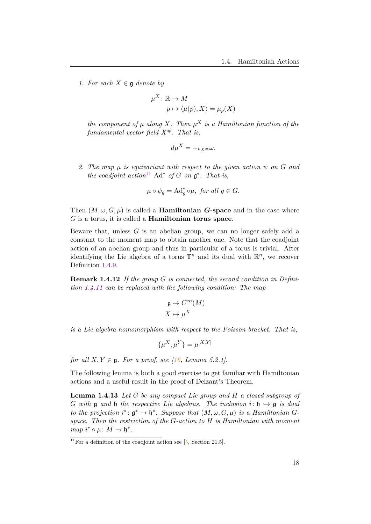*1.* For each  $X \in \mathfrak{g}$  denote by

$$
\mu^X \colon \mathbb{R} \to M
$$

$$
p \mapsto \langle \mu(p), X \rangle = \mu_p(X)
$$

*the component of*  $\mu$  *along*  $X$ *. Then*  $\mu^X$  *is a Hamiltonian function of the fundamental vector field*  $X^{\#}$ *. That is,* 

$$
d\mu^X = -\iota_{X^\#}\omega.
$$

*2. The map µ is equivariant with respect to the given action ψ on G and the coadjoint action*<sup>[11](#page-20-0)</sup> Ad<sup>\*</sup> *of G on*  $\mathfrak{g}^*$ *. That is,* 

$$
\mu \circ \psi_g = \mathrm{Ad}^*_g \circ \mu, \text{ for all } g \in G.
$$

Then  $(M, \omega, G, \mu)$  is called a **Hamiltonian** *G***-space** and in the case where *G* is a torus, it is called a **Hamiltonian torus space**.

Beware that, unless *G* is an abelian group, we can no longer safely add a constant to the moment map to obtain another one. Note that the coadjoint action of an abelian group and thus in particular of a torus is trivial. After identifying the Lie algebra of a torus  $\mathbb{T}^n$  and its dual with  $\mathbb{R}^n$ , we recover Definition [1.4.9](#page-17-1).

**Remark 1.4.12** *If the group G is connected, the second condition in Definition [1.4.11](#page-19-2) can be replaced with the following condition: The map*

$$
\mathfrak{g} \to C^{\infty}(M)
$$

$$
X \mapsto \mu^X
$$

*is a Lie algebra homomorphism with respect to the Poisson bracket. That is,*

$$
\{\mu^X, \mu^Y\} = \mu^{[X,Y]}
$$

*for all*  $X, Y \in \mathfrak{g}$ *. For a proof, see* [\[16](#page-49-9)*, Lemma 5.2.1]*.

The following lemma is both a good exercise to get familiar with Hamiltonian actions and a useful result in the proof of Delzant's Theorem.

<span id="page-20-1"></span>**Lemma 1.4.13** *Let G be any compact Lie group and H a closed subgroup of G* with g and h the respective Lie algebras. The inclusion  $i: \mathfrak{h} \hookrightarrow \mathfrak{g}$  is dual *to the projection*  $i^* \colon \mathfrak{g}^* \to \mathfrak{h}^*$ *. Suppose that*  $(M, \omega, G, \mu)$  *is a Hamiltonian Gspace. Then the restriction of the G-action to H is Hamiltonian with moment*  $map \ i^* \circ \mu \colon M \to \mathfrak{h}^*.$ 

<span id="page-20-0"></span><sup>&</sup>lt;sup>11</sup>For a definition of the coadjoint action see [\[5,](#page-48-2) Section 21.5].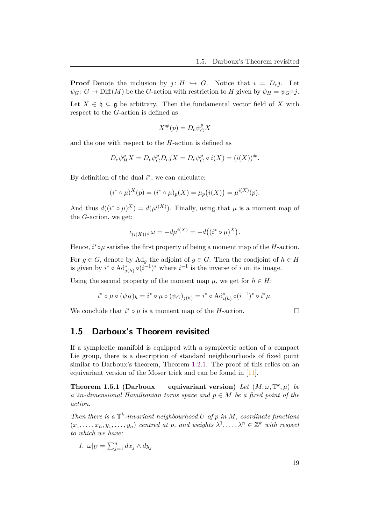**Proof** Denote the inclusion by *j*:  $H \hookrightarrow G$ . Notice that  $i = D_e j$ . Let  $\psi_G$ :  $G \to \text{Diff}(M)$  be the *G*-action with restriction to *H* given by  $\psi_H = \psi_G \circ j$ .

Let  $X \in \mathfrak{h} \subseteq \mathfrak{g}$  be arbitrary. Then the fundamental vector field of X with respect to the *G*-action is defined as

$$
X^\#(p) = D_e \psi_G^p X
$$

and the one with respect to the *H*-action is defined as

$$
D_e \psi_H^p X = D_e \psi_G^p D_e jX = D_e \psi_G^p \circ i(X) = (i(X))^{\#}.
$$

By definition of the dual  $i^*$ , we can calculate:

$$
(i^* \circ \mu)^X(p) = (i^* \circ \mu)_p(X) = \mu_p(i(X)) = \mu^{i(X)}(p).
$$

And thus  $d((i^* \circ \mu)^X) = d(\mu^{i(X)})$ . Finally, using that  $\mu$  is a moment map of the *G*-action, we get:

$$
\iota_{(i(X))^\#}\omega = -d\mu^{i(X)} = -d((i^* \circ \mu)^X).
$$

Hence,  $i^* \circ \mu$  satisfies the first property of being a moment map of the *H*-action.

For  $g \in G$ , denote by Ad<sub>q</sub> the adjoint of  $g \in G$ . Then the coadjoint of  $h \in H$ is given by  $i^* \circ \text{Ad}_{j(h)}^* \circ (i^{-1})^*$  where  $i^{-1}$  is the inverse of *i* on its image.

Using the second property of the moment map  $\mu$ , we get for  $h \in H$ :

$$
i^* \circ \mu \circ (\psi_H)_h = i^* \circ \mu \circ (\psi_G)_{j(h)} = i^* \circ \mathrm{Ad}^*_{i(h)} \circ (i^{-1})^* \circ i^* \mu.
$$

We conclude that  $i^* \circ \mu$  is a moment map of the *H*-action. □

### <span id="page-21-0"></span>**1.5 Darboux's Theorem revisited**

If a symplectic manifold is equipped with a symplectic action of a compact Lie group, there is a description of standard neighbourhoods of fixed point similar to Darboux's theorem, Theorem [1.2.1](#page-10-1). The proof of this relies on an equivariant version of the Moser trick and can be found in [\[11](#page-48-6)].

<span id="page-21-1"></span>**Theorem 1.5.1 (Darboux — equivariant version)** Let  $(M, \omega, \mathbb{T}^k, \mu)$  be *a* 2*n*-dimensional Hamiltonian torus space and  $p \in M$  be a fixed point of the *action.*

*Then there is a*  $\mathbb{T}^k$ -*invariant neighbourhood U of p in M, coordinate functions*  $(x_1, \ldots, x_n, y_1, \ldots, y_n)$  *centred at p, and weights*  $\lambda^1, \ldots, \lambda^n \in \mathbb{Z}^k$  *with respect to which we have:*

1. 
$$
\omega|_U = \sum_{j=1}^n dx_j \wedge dy_j
$$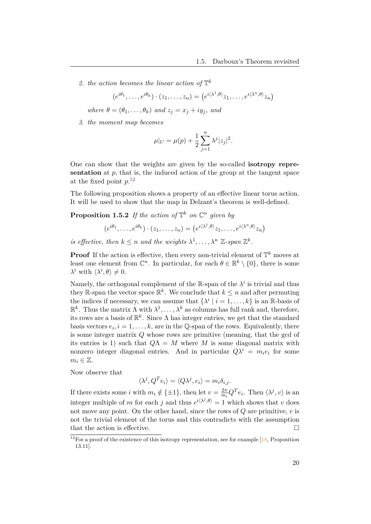2. the action becomes the linear action of  $\mathbb{T}^k$ 

$$
(e^{i\theta_1}, \dots, e^{i\theta_k}) \cdot (z_1, \dots, z_n) = (e^{i\langle \lambda^1, \theta \rangle} z_1, \dots, e^{i\langle \lambda^n, \theta \rangle} z_n)
$$

*where*  $\theta = (\theta_1, \dots, \theta_k)$  *and*  $z_j = x_j + iy_j$ *, and* 

*3. the moment map becomes*

<span id="page-22-1"></span>
$$
\mu|_{U} = \mu(p) + \frac{1}{2} \sum_{j=1}^{n} \lambda^{j} |z_{j}|^{2}.
$$

One can show that the weights are given by the so-called **isotropy representation** at  $p$ , that is, the induced action of the group at the tangent space at the fixed point *p*. [12](#page-22-0)

The following proposition shows a property of an effective linear torus action. It will be used to show that the map in Delzant's theorem is well-defined.

**Proposition 1.5.2** If the action of  $\mathbb{T}^k$  on  $\mathbb{C}^n$  given by

$$
(e^{i\theta_1},\ldots,e^{i\theta_k})\cdot(z_1,\ldots,z_n)=(e^{i\langle\lambda^1,\theta\rangle}z_1,\ldots,e^{i\langle\lambda^n,\theta\rangle}z_n)
$$

*is effective, then*  $k \leq n$  *and the weights*  $\lambda^1, \ldots, \lambda^n$  Z-span  $\mathbb{Z}^k$ .

**Proof** If the action is effective, then every non-trivial element of  $\mathbb{T}^k$  moves at least one element from  $\mathbb{C}^n$ . In particular, for each  $\theta \in \mathbb{R}^k \setminus \{0\}$ , there is some  $\lambda^i$  with  $\langle \lambda^i, \theta \rangle \neq 0$ .

Namely, the orthogonal complement of the  $\mathbb{R}$ -span of the  $\lambda^i$  is trivial and thus they R-span the vector space  $\mathbb{R}^k$ . We conclude that  $k \leq n$  and after permuting the indices if necessary, we can assume that  $\{\lambda^i \mid i = 1, \ldots, k\}$  is an R-basis of  $\mathbb{R}^k$ . Thus the matrix  $\Lambda$  with  $\lambda^1, \ldots, \lambda^k$  as columns has full rank and, therefore, its rows are a basis of  $\mathbb{R}^k$ . Since  $\Lambda$  has integer entries, we get that the standard basis vectors  $e_i$ ,  $i = 1, ..., k$ , are in the Q-span of the rows. Equivalently, there is some integer matrix *Q* whose rows are primitive (meaning, that the gcd of its entries is 1) such that  $Q\Lambda = M$  where M is some diagonal matrix with nonzero integer diagonal entries. And in particular  $Q\lambda^i = m_i e_i$  for some  $m_i \in \mathbb{Z}$ .

Now observe that

$$
\langle \lambda^j, Q^T e_i \rangle = \langle Q \lambda^j, e_i \rangle = m_i \delta_{i,j}.
$$

If there exists some *i* with  $m_i \notin \{\pm 1\}$ , then let  $v = \frac{2\pi}{m_i}$  $\frac{2\pi}{m_i}Q^Te_i$ . Then  $\langle \lambda^j, v \rangle$  is an integer multiple of *m* for each *j* and thus  $e^{i\langle \lambda^j, \theta \rangle} = 1$  which shows that *v* does not move any point. On the other hand, since the rows of *Q* are primitive, *v* is not the trivial element of the torus and this contradicts with the assumption that the action is effective.  $\Box$ 

<span id="page-22-0"></span> $12$ For a proof of the existence of this isotropy representation, see for example  $[18,$  $[18,$  Proposition 13.11].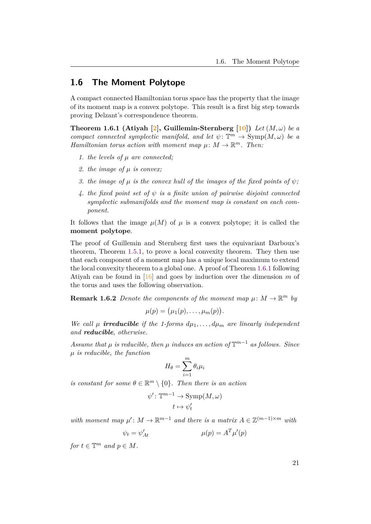# <span id="page-23-0"></span>**1.6 The Moment Polytope**

A compact connected Hamiltonian torus space has the property that the image of its moment map is a convex polytope. This result is a first big step towards proving Delzant's correspondence theorem.

<span id="page-23-1"></span>**Theorem 1.6.1 (Atiyah [\[2\]](#page-48-7)**, Guillemin-Sternberg  $[10]$  $[10]$  $[10]$ ) *Let*  $(M,\omega)$  *be a compact connected symplectic manifold, and let*  $\psi$ :  $\mathbb{T}^m \to \text{Symp}(M, \omega)$  *be a Hamiltonian torus action with moment map*  $\mu$ :  $M \to \mathbb{R}^m$ . Then:

- *1. the levels of µ are connected;*
- *2. the image of µ is convex;*
- *3. the image of µ is the convex hull of the images of the fixed points of ψ;*
- *4. the fixed point set of ψ is a finite union of pairwise disjoint connected symplectic submanifolds and the moment map is constant on each component.*

It follows that the image  $\mu(M)$  of  $\mu$  is a convex polytope; it is called the **moment polytope**.

The proof of Guillemin and Sternberg first uses the equivariant Darboux's theorem, Theorem [1.5.1,](#page-21-1) to prove a local convexity theorem. They then use that each component of a moment map has a unique local maximum to extend the local convexity theorem to a global one. A proof of Theorem [1.6.1](#page-23-1) following Atiyah can be found in [[16\]](#page-49-9) and goes by induction over the dimension *m* of the torus and uses the following observation.

**Remark 1.6.2** *Denote the components of the moment map*  $\mu: M \to \mathbb{R}^m$  *by* 

$$
\mu(p) = (\mu_1(p), \ldots, \mu_m(p)).
$$

*We call*  $\mu$  *irreducible* if the 1-forms  $d\mu_1, \ldots, d\mu_m$  are linearly independent *and reducible, otherwise.*

*Assume that*  $\mu$  *is reducible, then*  $\mu$  *induces an action of*  $\mathbb{T}^{m-1}$  *as follows. Since µ is reducible, the function*

$$
H_{\theta} = \sum_{i=1}^{m} \theta_i \mu_i
$$

*is constant for some*  $\theta \in \mathbb{R}^m \setminus \{0\}$ *. Then there is an action* 

$$
\psi' \colon \mathbb{T}^{m-1} \to \text{Symp}(M, \omega)
$$

$$
t \mapsto \psi'_t
$$

*with moment map*  $\mu' : M \to \mathbb{R}^{m-1}$  *and there is a matrix*  $A \in \mathbb{Z}^{(m-1)\times m}$  *with* 

 $\psi_t = \psi'_t$  $\mu(p) = A^T \mu'(p)$ 

<span id="page-23-2"></span>*for*  $t \in \mathbb{T}^m$  *and*  $p \in M$ *.*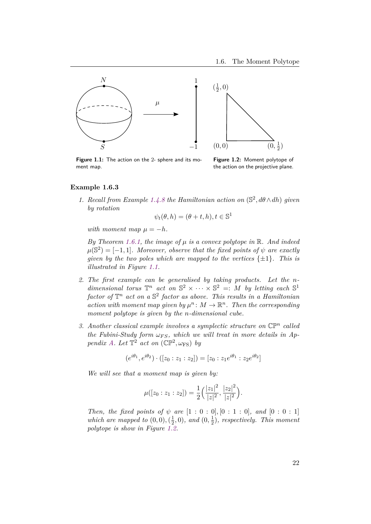

<span id="page-24-0"></span>**Figure 1.1:** The action on the 2- sphere and its moment map.

<span id="page-24-1"></span>**Figure 1.2:** Moment polytope of the action on the projective plane.

#### **Example 1.6.3**

*1. Recall from Example [1.4.8](#page-17-2) the Hamiltonian action on*  $(S^2, d\theta \wedge dh)$  *given by rotation*

$$
\psi_t(\theta, h) = (\theta + t, h), t \in \mathbb{S}^1
$$

*with moment map*  $\mu = -h$ *.* 

*By Theorem [1.6.1,](#page-23-1) the image of µ is a convex polytope in* R*. And indeed*  $\mu(\mathbb{S}^2) = [-1, 1]$ *. Moreover, observe that the fixed points of*  $\psi$  *are exactly given by the two poles which are mapped to the vertices {±*1*}. This is illustrated in Figure [1.1](#page-24-0).*

- *2. The first example can be generalised by taking products. Let the n*dimensional torus  $\mathbb{T}^n$  act on  $\mathbb{S}^2 \times \cdots \times \mathbb{S}^2 =: M$  by letting each  $\mathbb{S}^1$  $\emph{factor of $\mathbb{T}^n$ act on a $\mathbb{S}^2$ factor as above. This results in a Hamiltonian$ *action with moment map given by*  $\mu^n$ :  $M \to \mathbb{R}^n$ . Then the corresponding *moment polytope is given by the n-dimensional cube.*
- *3. Another classical example involves a symplectic structure on* CP*<sup>n</sup> called the Fubini-Study form*  $\omega_{FS}$ , which we will treat in more details in Ap*pendix [A](#page-44-0).* Let  $\mathbb{T}^2$  *act on*  $(\mathbb{CP}^2, \omega_{\text{FS}})$  *by*

$$
(e^{i\theta_1}, e^{i\theta_2}) \cdot ([z_0 : z_1 : z_2]) = [z_0 : z_1 e^{i\theta_1} : z_2 e^{i\theta_2}]
$$

*We will see that a moment map is given by:*

$$
\mu([z_0:z_1:z_2]) = \frac{1}{2} \left( \frac{|z_1|^2}{|z|^2}, \frac{|z_2|^2}{|z|^2} \right).
$$

*Then, the fixed points of*  $\psi$  *are*  $[1 : 0 : 0]$ *,*  $[0 : 1 : 0]$ *, and*  $[0 : 0 : 1]$ *which are mapped to*  $(0,0), (\frac{1}{2})$  $(\frac{1}{2}, 0), \text{ and } (0, \frac{1}{2})$  $\frac{1}{2}$ ), respectively. This moment *polytope is show in Figure [1.2.](#page-24-1)*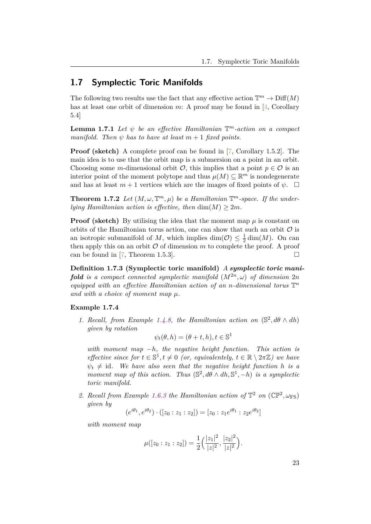# <span id="page-25-0"></span>**1.7 Symplectic Toric Manifolds**

The following two results use the fact that any effective action  $\mathbb{T}^m \to \mathrm{Diff}(M)$ has at least one orbit of dimension *m*: A proof may be found in [[4](#page-48-9), Corollary 5.4]

**Lemma 1.7.1** *Let ψ be an effective Hamiltonian* T *<sup>m</sup>-action on a compact manifold. Then*  $\psi$  *has to have at least*  $m + 1$  *fixed points.* 

**Proof (sketch)** A complete proof can be found in [\[7,](#page-48-3) Corollary 1.5.2]. The main idea is to use that the orbit map is a submersion on a point in an orbit. Choosing some *m*-dimensional orbit  $O$ , this implies that a point  $p \in O$  is an interior point of the moment polytope and thus  $\mu(M) \subseteq \mathbb{R}^m$  is nondegenerate and has at least  $m+1$  vertices which are the images of fixed points of  $\psi$ .  $\Box$ 

**Theorem 1.7.2** Let  $(M, \omega, \mathbb{T}^m, \mu)$  be a Hamiltonian  $\mathbb{T}^m$ -space. If the under*lying Hamiltonian action is effective, then*  $dim(M) \geq 2m$ .

**Proof (sketch)** By utilising the idea that the moment map  $\mu$  is constant on orbits of the Hamiltonian torus action, one can show that such an orbit *O* is an isotropic submanifold of M, which implies dim $(\mathcal{O}) \leq \frac{1}{2}$  $\frac{1}{2}\dim(M)$ . On can then apply this on an orbit  $\mathcal O$  of dimension  $m$  to complete the proof. A proof can be found in [\[7,](#page-48-3) Theorem 1.5.3].  $\square$ 

**Definition 1.7.3 (Symplectic toric manifold)** *A symplectic toric manifold is a compact connected symplectic manifold*  $(M^{2n}, \omega)$  *of dimension* 2*n equipped with an effective Hamiltonian action of an n-dimensional torus* T *n and with a choice of moment map µ.*

#### **Example 1.7.4**

1. Recall, from Example [1.4.8](#page-17-2), the Hamiltonian action on  $(\mathbb{S}^2, d\theta \wedge dh)$ *given by rotation*

$$
\psi_t(\theta, h) = (\theta + t, h), t \in \mathbb{S}^1
$$

*with moment map −h, the negative height function. This action is effective since for*  $t \in \mathbb{S}^1, t \neq 0$  *(or, equivalentely,*  $t \in \mathbb{R} \setminus 2\pi\mathbb{Z}$ *) we have*  $\psi_t \neq id$ . We have also seen that the negative height function h is a *moment map of this action. Thus*  $(S^2, d\theta \wedge dh, S^1, -h)$  *is a symplectic toric manifold.*

2. *Recall from Example [1.6.3](#page-23-2) the Hamiltonian action of*  $\mathbb{T}^2$  *on* ( $\mathbb{CP}^2, \omega_{FS}$ ) *given by*

$$
(e^{i\theta_1}, e^{i\theta_2}) \cdot ([z_0 : z_1 : z_2]) = [z_0 : z_1 e^{i\theta_1} : z_2 e^{i\theta_2}]
$$

*with moment map*

$$
\mu([z_0:z_1:z_2]) = \frac{1}{2} \left( \frac{|z_1|^2}{|z|^2}, \frac{|z_2|^2}{|z|^2} \right).
$$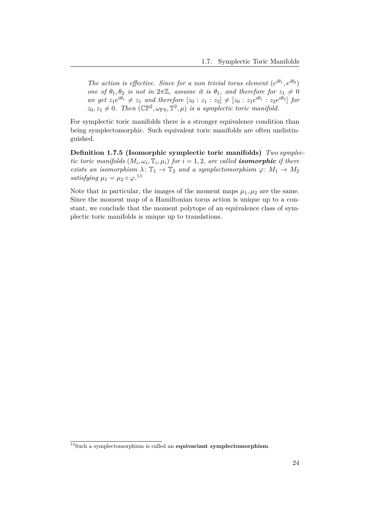*The action is effective. Since for a non trivial torus element*  $(e^{i\theta_1}, e^{i\theta_2})$ *one of*  $\theta_1, \theta_2$  *is not in*  $2\pi\mathbb{Z}$ *, assume it is*  $\theta_1$ *, and therefore for*  $z_1 \neq 0$ *we get*  $z_1 e^{i\theta_1} \neq z_1$  *and therefore*  $[z_0 : z_1 : z_2] \neq [z_0 : z_1 e^{i\theta_1} : z_2 e^{i\theta_2}]$  *for*  $z_0, z_1 \neq 0$ . Then  $(\mathbb{CP}^2, \omega_{\text{FS}}, \mathbb{T}^2, \mu)$  *is a symplectic toric manifold.* 

For symplectic toric manifolds there is a stronger equivalence condition than being symplectomorphic. Such equivalent toric manifolds are often undistinguished.

**Definition 1.7.5 (Isomorphic symplectic toric manifolds)** *Two symplectic toric manifolds*  $(M_i, \omega_i, \mathbb{T}_i, \mu_i)$  *for*  $i = 1, 2$ *, are called isomorphic if there exists an isomorphism*  $\lambda: \mathbb{T}_1 \to \mathbb{T}_2$  *and a symplectomorphism*  $\varphi: M_1 \to M_2$ *satisfying*  $\mu_1 = \mu_2 \circ \varphi$ .<sup>[13](#page-26-0)</sup>

Note that in particular, the images of the moment maps  $\mu_1, \mu_2$  are the same. Since the moment map of a Hamiltonian torus action is unique up to a constant, we conclude that the moment polytope of an equivalence class of symplectic toric manifolds is unique up to translations.

<span id="page-26-0"></span><sup>13</sup>Such a symplectomorphism is called an **equivariant symplectomorphism**.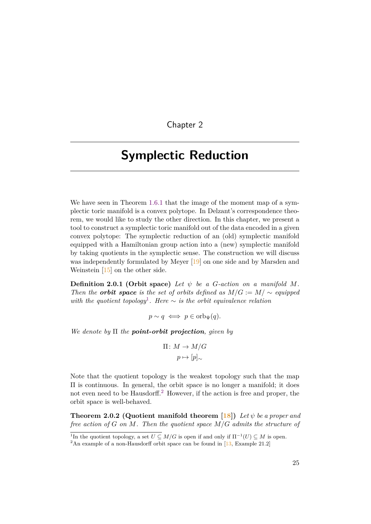Chapter 2

# <span id="page-27-0"></span>**Symplectic Reduction**

We have seen in Theorem [1.6.1](#page-23-1) that the image of the moment map of a symplectic toric manifold is a convex polytope. In Delzant's correspondence theorem, we would like to study the other direction. In this chapter, we present a tool to construct a symplectic toric manifold out of the data encoded in a given convex polytope: The symplectic reduction of an (old) symplectic manifold equipped with a Hamiltonian group action into a (new) symplectic manifold by taking quotients in the symplectic sense. The construction we will discuss was independently formulated by Meyer [\[19](#page-49-3)] on one side and by Marsden and Weinstein [\[15](#page-49-2)] on the other side.

**Definition 2.0.1 (Orbit space)** Let  $\psi$  be a G-action on a manifold M. *Then the orbit space* is the set of orbits defined as  $M/G := M / \sim$  equipped *with the quotient topology*<sup>[1](#page-27-1)</sup>. Here  $\sim$  *is the orbit equivalence relation* 

$$
p \sim q \iff p \in \text{orb}_{\Psi}(q).
$$

*We denote by* Π *the point-orbit projection, given by*

$$
\Pi\colon M\to M/G
$$

$$
p\mapsto [p]_{\sim}
$$

Note that the quotient topology is the weakest topology such that the map Π is continuous. In general, the orbit space is no longer a manifold; it does not even need to be Hausdorff.<sup>[2](#page-27-2)</sup> However, if the action is free and proper, the orbit space is well-behaved.

<span id="page-27-3"></span>**Theorem 2.0.2 (Quotient manifold theorem [\[18\]](#page-49-8))** Let  $\psi$  be a proper and *free action of G on M. Then the quotient space M/G admits the structure of*

<span id="page-27-1"></span><sup>&</sup>lt;sup>1</sup>In the quotient topology, a set  $U \subseteq M/G$  is open if and only if  $\Pi^{-1}(U) \subseteq M$  is open.

<span id="page-27-2"></span><sup>&</sup>lt;sup>2</sup>An example of a non-Hausdorff orbit space can be found in [\[13](#page-49-10), Example 21.2]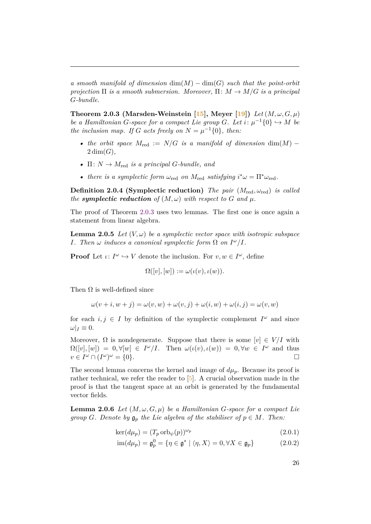*a smooth manifold of dimension* dim(*M*) *−* dim(*G*) *such that the point-orbit projection*  $\Pi$  *is a smooth submersion. Moreover,*  $\Pi: M \to M/G$  *is a principal G-bundle.*

<span id="page-28-0"></span>**Theorem 2.0.3 (Marsden-Weinstein [[15](#page-49-2)], Meyer [[19\]](#page-49-3))** *Let*  $(M, \omega, G, \mu)$ *be a Hamiltonian G-space for a compact Lie group <i>G.* Let  $i: \mu^{-1}\{0\} \hookrightarrow M$  be *the inclusion map. If G acts freely on*  $N = \mu^{-1}\{0\}$ *, then:* 

- *the orbit space*  $M_{\text{red}}$  :=  $N/G$  *is a manifold of dimension* dim $(M)$  2 dim(*G*)*,*
- $\Pi: N \to M_{\text{red}}$  *is a principal G-bundle, and*
- *there is a symplectic form*  $\omega_{\text{red}}$  *on*  $M_{\text{red}}$  *satisfying*  $i^*\omega = \Pi^*\omega_{\text{red}}$ *.*

**Definition 2.0.4 (Symplectic reduction)** *The pair*  $(M_{red}, \omega_{red})$  *is called the symplectic reduction* of  $(M, \omega)$  *with respect to*  $G$  *and*  $\mu$ *.* 

The proof of Theorem [2.0.3](#page-28-0) uses two lemmas. The first one is once again a statement from linear algebra.

<span id="page-28-2"></span>**Lemma 2.0.5** *Let*  $(V, \omega)$  *be a symplectic vector space with isotropic subspace I. Then*  $\omega$  *induces a canonical symplectic form*  $\Omega$  *on*  $I^{\omega}/I$ *.* 

**Proof** Let  $\iota: I^{\omega} \hookrightarrow V$  denote the inclusion. For  $v, w \in I^{\omega}$ , define

$$
\Omega([v],[w]) := \omega(\iota(v), \iota(w)).
$$

Then  $\Omega$  is well-defined since

$$
\omega(v+i,w+j) = \omega(v,w) + \omega(v,j) + \omega(i,w) + \omega(i,j) = \omega(v,w)
$$

for each  $i, j \in I$  by definition of the symplectic complement  $I^{\omega}$  and since  $\omega|_I \equiv 0.$ 

Moreover,  $\Omega$  is nondegenerate. Suppose that there is some  $[v] \in V/I$  with  $\Omega([v], [w]) = 0, \forall [w] \in I^{\omega}/I$ . Then  $\omega(\iota(v), \iota(w)) = 0, \forall w \in I^{\omega}$  and thus  $v \in I^{\omega} \cap (I^{\omega})^{\omega} = \{0\}.$ 

The second lemma concerns the kernel and image of  $d\mu_p$ . Because its proof is rather technical, we refer the reader to [\[5\]](#page-48-2). A crucial observation made in the proof is that the tangent space at an orbit is generated by the fundamental vector fields.

<span id="page-28-1"></span>**Lemma 2.0.6** *Let*  $(M, \omega, G, \mu)$  *be a Hamiltonian G-space for a compact Lie group G. Denote by*  $\mathfrak{g}_p$  *the Lie algebra of the stabiliser of*  $p \in M$ *. Then:* 

$$
\ker(d\mu_p) = (T_p \operatorname{orb}_{\psi}(p))^{\omega_p} \tag{2.0.1}
$$

$$
\operatorname{im}(d\mu_p) = \mathfrak{g}_p^0 = \{ \eta \in \mathfrak{g}^* \mid \langle \eta, X \rangle = 0, \forall X \in \mathfrak{g}_p \}
$$
 (2.0.2)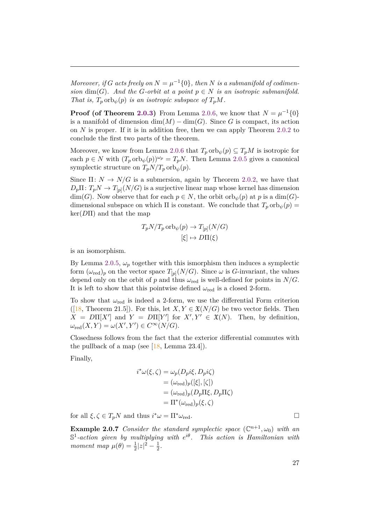*Moreover, if G acts freely on*  $N = \mu^{-1}\{0\}$ *, then N is a submanifold of codimension* dim(*G*). And the *G*-orbit at a point  $p \in N$  is an isotropic submanifold. *That is,*  $T_p$  orb $_p(p)$  *is an isotropic subspace of*  $T_pM$ *.* 

**Proof (of Theorem [2.0.3\)](#page-28-0)** From Lemma [2.0.6](#page-28-1), we know that  $N = \mu^{-1}\{0\}$ is a manifold of dimension  $dim(M) - dim(G)$ . Since *G* is compact, its action on *N* is proper. If it is in addition free, then we can apply Theorem [2.0.2](#page-27-3) to conclude the first two parts of the theorem.

Moreover, we know from Lemma [2.0.6](#page-28-1) that  $T_p$  orb $_\psi(p) \subseteq T_pM$  is isotropic for each  $p \in N$  with  $(T_p \text{orb}_{\psi}(p))^{\omega_p} = T_p N$ . Then Lemma [2.0.5](#page-28-2) gives a canonical symplectic structure on  $T_p N / T_p \text{ orb}_{\psi}(p)$ .

Since  $\Pi: N \to N/G$  is a submersion, again by Theorem [2.0.2,](#page-27-3) we have that  $D_p\Pi: T_pN \to T_{[p]}(N/G)$  is a surjective linear map whose kernel has dimension  $\dim(G)$ . Now observe that for each  $p \in N$ , the orbit  $\text{orb}_{\psi}(p)$  at p is a  $\dim(G)$ dimensional subspace on which  $\Pi$  is constant. We conclude that  $T_p$  orb $_p(p)$  = ker(*D*Π) and that the map

$$
T_p N / T_p \operatorname{orb}_{\psi}(p) \to T_{[p]}(N/G)
$$

$$
[\xi] \mapsto D\Pi(\xi)
$$

is an isomorphism.

By Lemma [2.0.5,](#page-28-2)  $\omega_p$  together with this ismorphism then induces a symplectic form  $(\omega_{\text{red}})_p$  on the vector space  $T_{[p]}(N/G)$ . Since  $\omega$  is *G*-invariant, the values depend only on the orbit of *p* and thus  $\omega_{\text{red}}$  is well-defined for points in  $N/G$ . It is left to show that this pointwise defined  $\omega_{\text{red}}$  is a closed 2-form.

To show that  $\omega_{\text{red}}$  is indeed a 2-form, we use the differential Form criterion ([\[18](#page-49-8), Theorem 21.5]). For this, let  $X, Y \in \mathfrak{X}(N/G)$  be two vector fields. Then  $X = D\Pi[X']$  and  $Y = D\Pi[Y']$  for  $X', Y' \in \mathfrak{X}(N)$ . Then, by definition,  $\omega_{\text{red}}(X, Y) = \omega(X', Y') \in C^{\infty}(N/G).$ 

Closedness follows from the fact that the exterior differential commutes with the pullback of a map (see  $[18, \text{Lemma } 23.4]$  $[18, \text{Lemma } 23.4]$  $[18, \text{Lemma } 23.4]$ ).

Finally,

$$
i^*\omega(\xi,\zeta) = \omega_p(D_p i\xi, D_p i\zeta)
$$
  
=  $(\omega_{\text{red}})_p([\xi], [\zeta])$   
=  $(\omega_{\text{red}})_p(D_p \Pi \xi, D_p \Pi \zeta)$   
=  $\Pi^*(\omega_{\text{red}})_p(\xi, \zeta)$ 

for all  $\xi, \zeta \in T_pN$  and thus  $i^*\omega = \Pi^*\omega_{\text{red}}$ .

<span id="page-29-0"></span>**Example 2.0.7** *Consider the standard symplectic space*  $(\mathbb{C}^{n+1}, \omega_0)$  *with an* S 1 *-action given by multiplying with e iθ. This action is Hamiltonian with moment map*  $\mu(\theta) = \frac{1}{2}|z|^2 - \frac{1}{2}$  $\frac{1}{2}$ .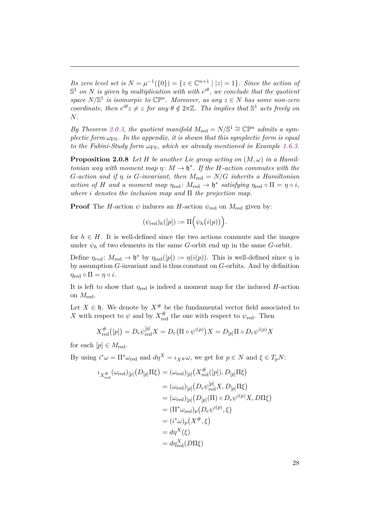*Its zero level set is*  $N = \mu^{-1}(\{0\}) = \{z \in \mathbb{C}^{n+1} \mid |z| = 1\}$ *. Since the action of*  $\mathbb{S}^1$  *on N is given by multiplication with with*  $e^{i\theta}$ *, we conclude that the quotient space*  $N/\mathbb{S}^1$  *is isomorpic to*  $\mathbb{CP}^n$ *. Moreover, as any*  $z \in N$  *has some non-zero coordinate, then*  $e^{i\theta}z \neq z$  *for any*  $\theta \notin 2\pi\mathbb{Z}$ *. Ths implies that*  $\mathbb{S}^1$  *acts freely on N.*

*By Theorem [2.0.3,](#page-28-0) the quotient manifold*  $M_{\text{red}} = N/\mathbb{S}^1 \cong \mathbb{CP}^n$  *admits a symplectic form*  $\omega_{FS}$ *. In the appendix, it is shown that this symplectic form is equal to the Fubini-Study form ω*FS*, which we already mentioned in Example [1.6.3](#page-23-2).*

<span id="page-30-0"></span>**Proposition 2.0.8** *Let*  $H$  *be another Lie group acting on*  $(M, \omega)$  *in a Hamiltonian way with moment map*  $\eta: M \to \mathfrak{h}^*$ . If the *H*-action commutes with the *G*-action and if  $\eta$  is *G*-invariant, then  $M_{\text{red}} = N/G$  inherits a Hamiltonian *action of H and a moment map*  $\eta_{red}: M_{red} \to \mathfrak{h}^*$  *satisfying*  $\eta_{red} \circ \Pi = \eta \circ i$ , *where i denotes the inclusion map and* Π *the projection map.*

**Proof** The *H*-action  $\psi$  induces an *H*-action  $\psi_{\text{red}}$  on  $M_{\text{red}}$  given by:

$$
(\psi_{\mathrm{red}})_h([p]):=\Pi\Bigl(\psi_h\bigl(i(p)\bigr)\Bigr).
$$

for  $h \in H$ . It is well-defined since the two actions commute and the images under  $\psi_h$  of two elements in the same *G*-orbit end up in the same *G*-orbit.

Define  $\eta_{red}: M_{red} \to \mathfrak{h}^*$  by  $\eta_{red}([p]) := \eta(i(p))$ . This is well-defined since  $\eta$  is by assumption *G*-invariant and is thus constant on *G*-orbits. And by definition  $\eta_{\text{red}} \circ \Pi = \eta \circ i.$ 

It is left to show that *η*red is indeed a moment map for the induced *H*-action on *M*red.

Let  $X \in \mathfrak{h}$ . We denote by  $X^{\#}$  be the fundamental vector field associated to *X* with respect to  $\psi$  and by  $X_{\text{red}}^{\#}$  the one with respect to  $\psi_{\text{red}}$ . Then

$$
X_{\text{red}}^{\#}([p]) = D_e \psi_{\text{red}}^{[p]} X = D_e (\Pi \circ \psi^{i(p)}) X = D_{[p]} \Pi \circ D_e \psi^{i(p)} X
$$

for each  $[p] \in M_{\text{red}}$ .

By using  $i^*\omega = \Pi^*\omega_{\text{red}}$  and  $d\eta^X = \iota_{X^{\#}}\omega$ , we get for  $p \in N$  and  $\xi \in T_pN$ :

$$
\iota_{X_{\text{red}}^{\#}}(\omega_{\text{red}})_{[p]}(D_{[p]}\Pi\xi) = (\omega_{\text{red}})_{[p]}(X_{\text{red}}^{\#}([p]), D_{[p]}\Pi\xi)
$$
  
\n
$$
= (\omega_{\text{red}})_{[p]}(D_e\psi_{\text{red}}^{[p]}X, D_{[p]}\Pi\xi)
$$
  
\n
$$
= (\omega_{\text{red}})_{[p]}(D_{[p]}(\Pi) \circ D_e\psi^{i(p)}X, D\Pi\xi)
$$
  
\n
$$
= (\Pi^*\omega_{\text{red}})_p(D_e\psi^{i(p)}, \xi)
$$
  
\n
$$
= (i^*\omega)_p(X^{\#}, \xi)
$$
  
\n
$$
= d\eta^X(\xi)
$$
  
\n
$$
= d\eta_{\text{red}}^X(D\Pi\xi)
$$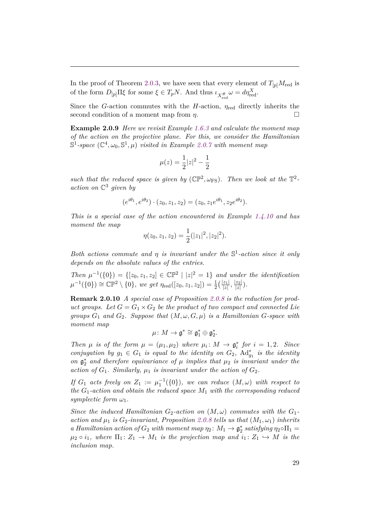In the proof of Theorem [2.0.3,](#page-28-0) we have seen that every element of  $T_{[p]}M_{\text{red}}$  is of the form  $D_{[p]} \Pi \xi$  for some  $\xi \in T_p N$ . And thus  $\iota_{X_{\text{red}}^{\#}} \omega = d\eta_{\text{red}}^X$ .

Since the *G*-action commutes with the *H*-action, *η*red directly inherits the second condition of a moment map from  $\eta$ .  $\Box$ 

**Example 2.0.9** *Here we revisit Example [1.6.3](#page-23-2) and calculate the moment map of the action on the projective plane. For this, we consider the Hamiltonian*  $\mathbb{S}^1$ -space  $(\mathbb{C}^4, \omega_0, \mathbb{S}^1, \mu)$  *visited in Example* [2.0.7](#page-29-0) *with moment map* 

$$
\mu(z) = \frac{1}{2}|z|^2 - \frac{1}{2}
$$

*such that the reduced space is given by*  $(\mathbb{CP}^2, \omega_{FS})$ *. Then we look at the*  $\mathbb{T}^2$ *action on* C 3 *given by*

$$
(e^{i\theta_1}, e^{i\theta_2}) \cdot (z_0, z_1, z_2) = (z_0, z_1 e^{i\theta_1}, z_2 e^{i\theta_2}).
$$

*This is a special case of the action encountered in Example [1.4.10](#page-18-0) and has moment the map*

$$
\eta(z_0, z_1, z_2) = \frac{1}{2}(|z_1|^2, |z_2|^2).
$$

*Both actions commute and η is invariant under the* S 1 *-action since it only depends on the absolute values of the entries.*

*Then*  $\mu^{-1}(\{0\}) = \{[z_0, z_1, z_2] \in \mathbb{CP}^2 \mid |z|^2 = 1\}$  *and under the identification*  $\mu^{-1}(\{0\}) \cong \mathbb{CP}^2 \setminus \{0\}, \ we \ get \ \eta_{\text{red}}([z_0, z_1, z_2]) = \frac{1}{2}(\frac{|z_1|}{|z|}, \frac{|z_2|}{|z|})$  $\frac{|z_2|}{|z|}$ ).

<span id="page-31-0"></span>**Remark 2.0.10** *A special case of Proposition [2.0.8](#page-30-0) is the reduction for product groups.* Let  $G = G_1 \times G_2$  be the product of two compact and connected Lie *groups*  $G_1$  *and*  $G_2$ *. Suppose that*  $(M, \omega, G, \mu)$  *is a Hamiltonian*  $G$ *-space with moment map*

$$
\mu\colon M\to\mathfrak{g}^*\cong\mathfrak{g}_1^*\oplus\mathfrak{g}_2^*.
$$

*Then*  $\mu$  *is of the form*  $\mu = (\mu_1, \mu_2)$  *where*  $\mu_i : M \to \mathfrak{g}_i^*$  *for*  $i = 1, 2$ *. Since conjugation by*  $g_1 \in G_1$  *is equal to the identity on*  $G_2$ ,  $Ad_{g_1}^*$  *is the identity on*  $\mathfrak{g}_2^*$  *and therefore equivariance of*  $\mu$  *implies that*  $\mu_2$  *is invariant under the action of*  $G_1$ *. Similarly,*  $\mu_1$  *is invariant under the action of*  $G_2$ *.* 

*If*  $G_1$  *acts freely on*  $Z_1 := \mu_1^{-1}(\{0\})$ *, we can reduce*  $(M, \omega)$  *with respect to the G*1*-action and obtain the reduced space M*<sup>1</sup> *with the corresponding reduced symplectic form*  $\omega_1$ *.* 

*Since the induced Hamiltonian*  $G_2$ -action on  $(M, \omega)$  *commutes with the*  $G_1$ *action and*  $\mu_1$  *is*  $G_2$ *-invariant, Proposition [2.0.8](#page-30-0) tells us that*  $(M_1, \omega_1)$  *inherits a Hamiltonian action of*  $G_2$  *with moment map*  $\eta_2 \colon M_1 \to \mathfrak{g}_2^*$  *satisfying*  $\eta_2 \circ \Pi_1 =$  $\mu_2 \circ i_1$ , where  $\Pi_1: Z_1 \to M_1$  *is the projection map and*  $i_1: Z_1 \to M$  *is the inclusion map.*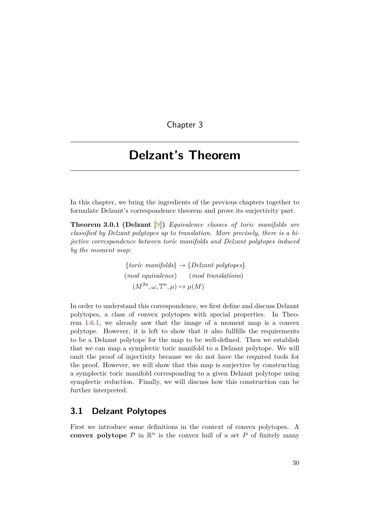Chapter 3

# <span id="page-32-0"></span>**Delzant's Theorem**

In this chapter, we bring the ingredients of the previous chapters together to formulate Delzant's correspondence theorem and prove its surjectivity part.

**Theorem 3.0.1 (Delzant [[9\]](#page-48-1))** *Equivalence classes of toric manifolds are classified by Delzant polytopes up to translation. More precisely, there is a bijective correspondence between toric manifolds and Delzant polytopes induced by the moment map:*

> *{toric manifolds} → {Delzant polytopes}* (*mod equivalence*) (*mod translations*)  $(M^{2n}, \omega, \mathbb{T}^n, \mu) \mapsto \mu(M)$

In order to understand this correspondence, we first define and discuss Delzant polytopes, a class of convex polytopes with special properties. In Theorem [1.6.1](#page-23-1), we already saw that the image of a moment map is a convex polytope. However, it is left to show that it also fullfills the requirements to be a Delzant polytope for the map to be well-defined. Then we establish that we can map a symplectic toric manifold to a Delzant polytope. We will omit the proof of injectivity because we do not have the required tools for the proof. However, we will show that this map is surjective by constructing a symplectic toric manifold corresponding to a given Delzant polytope using symplectic reduction. Finally, we will discuss how this construction can be further interpreted.

### <span id="page-32-1"></span>**3.1 Delzant Polytopes**

First we introduce some definitions in the context of convex polytopes. A **convex polytope**  $P$  in  $\mathbb{R}^n$  is the convex hull of a set P of finitely many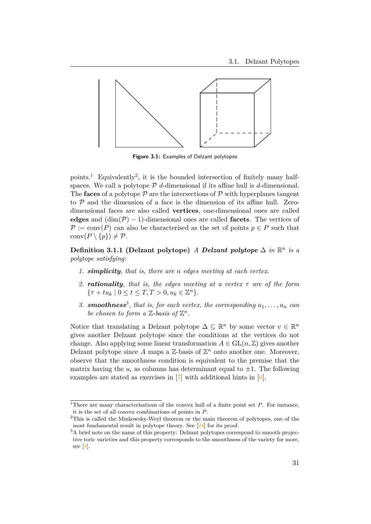

<span id="page-33-3"></span>**Figure 3.1:** Examples of Delzant polytopes

points.<sup>[1](#page-33-0)</sup> Equivalently<sup>[2](#page-33-1)</sup>, it is the bounded intersection of finitely many halfspaces. We call a polytope  $P$  *d*-dimensional if its affine hull is *d*-dimensional. The **faces** of a polytope  $P$  are the intersections of  $P$  with hyperplanes tangent to *P* and the dimension of a face is the dimension of its affine hull. Zerodimensional faces are also called **vertices**, one-dimensional ones are called **edges** and  $(\dim(\mathcal{P}) - 1)$ -dimensional ones are called **facets**. The vertices of  $P := \text{conv}(P)$  can also be characterised as the set of points  $p \in P$  such that conv $(P \setminus \{p\}) \neq P$ .

Definition 3.1.1 (Delzant polytope) *A* Delzant polytope  $\Delta$  in  $\mathbb{R}^n$  is a *polytope satisfying:*

- *1. simplicity, that is, there are n edges meeting at each vertex.*
- *2. rationality, that is, the edges meeting at a vertex τ are of the form*  $\{\tau + tu_k \mid 0 \le t \le T, T > 0, u_k \in \mathbb{Z}^n\}.$
- [3](#page-33-2). **smoothness**<sup>3</sup>, that is, for each vertex, the corresponding  $u_1, \ldots, u_n$  can be chosen to form a  $\mathbb{Z}$ -basis of  $\mathbb{Z}^n$ .

Notice that translating a Delzant polytope  $\Delta \subseteq \mathbb{R}^n$  by some vector  $v \in \mathbb{R}^n$ gives another Delzant polytope since the conditions at the vertices do not change. Also applying some linear transformation  $A \in GL(n, \mathbb{Z})$  gives another Delzant polytope since  $A$  maps a  $\mathbb{Z}$ -basis of  $\mathbb{Z}^n$  onto another one. Moreover, observe that the smoothness condition is equivalent to the premise that the matrix having the  $u_i$  as columns has determinant equal to  $\pm 1$ . The following examples are stated as exercises in [[7](#page-48-3)] with additional hints in [[6](#page-48-4)].

<span id="page-33-0"></span><sup>&</sup>lt;sup>1</sup>There are many characterisations of the convex hull of a finite point set *P*. For instance, it is the set of all convex combinations of points in *P*.

<span id="page-33-1"></span> $2$ This is called the Minkowsky-Weyl theorem or the main theorem of polytopes, one of the most fundamental result in polytope theory. See [\[24](#page-49-11)] for its proof.

<span id="page-33-2"></span><sup>&</sup>lt;sup>3</sup>A brief note on the name of this property: Delzant polytopes correspond to smooth projective toric varieties and this property corresponds to the smoothness of the variety for more, see  $[8]$ .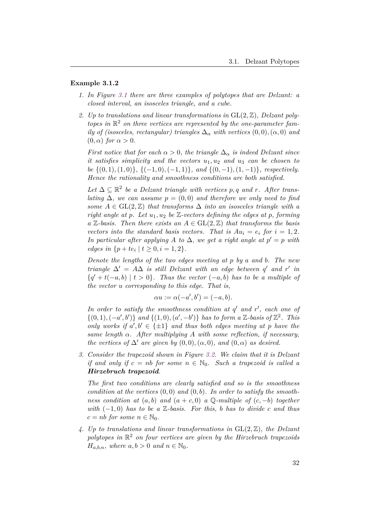#### <span id="page-34-0"></span>**Example 3.1.2**

- *1. In Figure [3.1](#page-33-3) there are three examples of polytopes that are Delzant: a closed interval, an isosceles triangle, and a cube.*
- *2. Up to translations and linear transformations in* GL(2*,* Z)*, Delzant poly* $topes in  $\mathbb{R}^2$  on three vertices are represented by the one-parameter fam$ *ily of (isosceles, rectangular) triangles*  $\Delta_{\alpha}$  *with vertices*  $(0,0), (\alpha,0)$  *and*  $(0, \alpha)$  *for*  $\alpha > 0$ *.*

*First notice that for each*  $\alpha > 0$ *, the triangle*  $\Delta_{\alpha}$  *is indeed Delzant since it satisfies simplicity and the vectors u*1*, u*<sup>2</sup> *and u*<sup>3</sup> *can be chosen to* be  $\{(0,1), (1,0)\}, \{(-1,0), (-1,1)\}, \text{ and } \{(0,-1), (1,-1)\}, \text{ respectively.}$ *Hence the rationality and smoothness conditions are both satisfied.*

Let  $\Delta \subseteq \mathbb{R}^2$  be a Delzant triangle with vertices p, q and r. After trans*lating*  $\Delta$ *, we can assume*  $p = (0,0)$  *and therefore we only need to find some*  $A \in GL(2,\mathbb{Z})$  *that transforms*  $\Delta$  *into an isosceles triangle with a right angle at p. Let u*1*, u*<sup>2</sup> *be* Z*-vectors defining the edges at p, forming a*  $\mathbb{Z}$ -basis. Then there exists an  $A \in GL(2, \mathbb{Z})$  that transforms the basis *vectors into the standard basis vectors. That is*  $Au_i = e_i$  *for*  $i = 1, 2$ *. In particular after applying A to*  $\Delta$ *, we get a right angle at*  $p' = p$  *with edges in*  $\{p + te_i \mid t \geq 0, i = 1, 2\}$ *.* 

*Denote the lengths of the two edges meeting at p by a and b. The new triangle*  $\Delta' = A\Delta$  *is still Delzant with an edge between*  $q'$  *and*  $r'$  *in*  ${q' + t(-a, b) \mid t > 0}$ *. Thus the vector* (*−a, b*) *has to be a multiple of the vector u corresponding to this edge. That is,*

$$
\alpha u := \alpha(-a', b') = (-a, b).
$$

*In order to satisfy the smoothness condition at q ′ and r ′ , each one of*  $\{(0,1), (-a',b')\}$  and  $\{(1,0), (a', -b')\}$  has to form a Z-basis of  $\mathbb{Z}^2$ . This *only works if*  $a', b' \in \{\pm 1\}$  *and thus both edges meeting at p have the same length*  $\alpha$ *. After multiplying*  $\tilde{A}$  *with some reflection, if necessary, the vertices of*  $\Delta'$  *are given by*  $(0,0), (\alpha,0)$ *, and*  $(0,\alpha)$  *as desired.* 

*3. Consider the trapezoid shown in Figure [3.2](#page-35-0). We claim that it is Delzant if and only if*  $c = nb$  *for some*  $n \in \mathbb{N}_0$ *. Such a trapezoid is called a Hirzebruch trapezoid.*

*The first two conditions are clearly satisfied and so is the smoothness condition at the vertices*  $(0,0)$  *and*  $(0,b)$ *. In order to satisfy the smoothness condition at*  $(a, b)$  *and*  $(a + c, 0)$  *a*  $\mathbb{Q}$ *-multiple of*  $(c, -b)$  *together*  $with$   $(-1,0)$  *has to be a*  $\mathbb{Z}$ -basis. For this, *b has to divide c and thus*  $c = nb$  *for some*  $n \in \mathbb{N}_0$ .

*4. Up to translations and linear transformations in* GL(2*,* Z)*, the Delzant polytopes in* R <sup>2</sup> *on four vertices are given by the Hirzebruch trapezoids*  $H_{a,b,n}$ *, where*  $a, b > 0$  *and*  $n \in \mathbb{N}_0$ *.*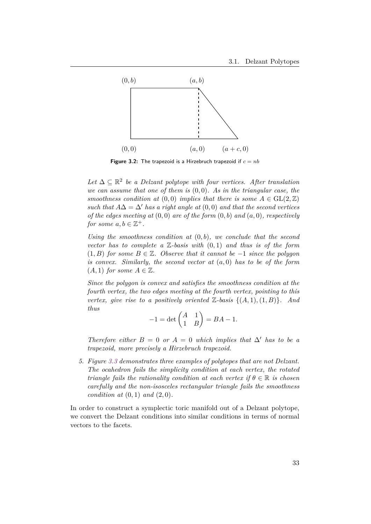

<span id="page-35-0"></span>**Figure 3.2:** The trapezoid is a Hirzebruch trapezoid if  $c = nb$ 

Let  $\Delta \subseteq \mathbb{R}^2$  be a Delzant polytope with four vertices. After translation *we can assume that one of them is* (0*,* 0)*. As in the triangular case, the smoothness condition at*  $(0,0)$  *implies that there is some*  $A \in GL(2,\mathbb{Z})$ *such that*  $A\Delta = \Delta'$  *has a right angle at*  $(0,0)$  *and that the second vertices of the edges meeting at* (0*,* 0) *are of the form* (0*, b*) *and* (*a,* 0)*, respectively for some*  $a, b \in \mathbb{Z}^+$ .

*Using the smoothness condition at* (0*, b*)*, we conclude that the second vector has to complete a* Z*-basis with* (0*,* 1) *and thus is of the form*  $(1, B)$  *for some*  $B \in \mathbb{Z}$ *. Observe that it cannot be*  $-1$  *since the polygon is convex. Similarly, the second vector at* (*a,* 0) *has to be of the form*  $(A, 1)$  *for some*  $A \in \mathbb{Z}$ .

*Since the polygon is convex and satisfies the smoothness condition at the fourth vertex, the two edges meeting at the fourth vertex, pointing to this vertex, give rise to a positively oriented*  $\mathbb{Z}$ -basis  $\{(A, 1), (1, B)\}$ *. And thus*

$$
-1 = \det \begin{pmatrix} A & 1 \\ 1 & B \end{pmatrix} = BA - 1.
$$

*Therefore either*  $B = 0$  *or*  $A = 0$  *which implies that*  $\Delta'$  *has to be a trapezoid, more precisely a Hirzebruch trapezoid.*

*5. Figure [3.3](#page-36-1) demonstrates three examples of polytopes that are not Delzant. The ocahedron fails the simplicity condition at each vertex, the rotated triangle fails the rationality condition at each vertex if*  $\theta \in \mathbb{R}$  *is chosen carefully and the non-isosceles rectangular triangle fails the smoothness condition at* (0*,* 1) *and* (2*,* 0)*.*

In order to construct a symplectic toric manifold out of a Delzant polytope, we convert the Delzant conditions into similar conditions in terms of normal vectors to the facets.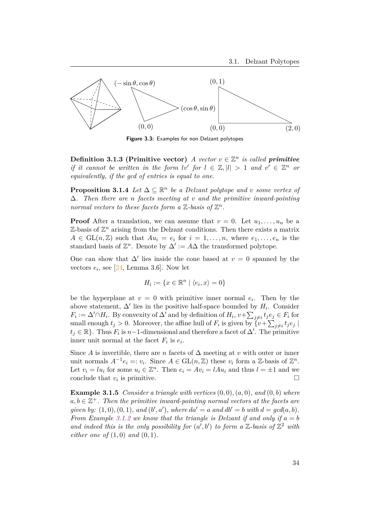

<span id="page-36-1"></span>**Figure 3.3:** Examples for non Delzant polytopes

**Definition 3.1.3 (Primitive vector)** *A vector*  $v \in \mathbb{Z}^n$  *is called primitive if it cannot be written in the form*  $lv'$  *for*  $l \in \mathbb{Z}, |l| > 1$  *and*  $v' \in \mathbb{Z}^n$  *or equivalently, if the gcd of entries is equal to one.*

<span id="page-36-2"></span>**Proposition 3.1.4** *Let*  $\Delta \subseteq \mathbb{R}^n$  *be a Delzant polytope and v some vertex of* ∆*. Then there are n facets meeting at v and the primitive inward-pointing normal vectors to these facets form a*  $\mathbb{Z}$ -basis of  $\mathbb{Z}^n$ .

<span id="page-36-0"></span>**Proof** After a translation, we can assume that  $v = 0$ . Let  $u_1, \ldots, u_n$  be a  $\mathbb{Z}$ -basis of  $\mathbb{Z}^n$  arising from the Delzant conditions. Then there exists a matrix  $A \in GL(n, \mathbb{Z})$  such that  $Au_i = e_i$  for  $i = 1, \ldots, n$ , where  $e_1, \ldots, e_n$  is the standard basis of  $\mathbb{Z}^n$ . Denote by  $\Delta' := A\Delta$  the transformed polytope.

One can show that  $\Delta'$  lies inside the cone based at  $v = 0$  spanned by the vectors  $e_i$ , see  $[24, \text{Lemma } 3.6]$  $[24, \text{Lemma } 3.6]$  $[24, \text{Lemma } 3.6]$ . Now let

$$
H_i := \{ x \in \mathbb{R}^n \mid \langle e_i, x \rangle = 0 \}
$$

be the hyperplane at  $v = 0$  with primitive inner normal  $e_i$ . Then by the above statement,  $\Delta'$  lies in the positive half-space bounded by  $H_i$ . Consider *F*<sup>*i*</sup> := ∆<sup>*′*</sup>∩*H*<sub>*i*</sub>. By convexity of ∆<sup>*'*</sup> and by definition of  $H_i$ ,  $v + \sum_{j \neq i} t_j e_j \in F_i$  for small enough  $t_j > 0$ . Moreover, the affine hull of  $F_i$  is given by  $\{v + \sum_{j \neq i} t_j e_j \mid$  $t_j \in \mathbb{R}$ . Thus  $F_i$  is *n*−1-dimensional and therefore a facet of  $\Delta'$ . The primitive inner unit normal at the facet  $F_i$  is  $e_i$ .

Since *A* is invertible, there are *n* facets of  $\Delta$  meeting at *v* with outer or inner unit normals  $A^{-1}e_i =: v_i$ . Since  $A \in GL(n, \mathbb{Z})$  these  $v_i$  form a  $\mathbb{Z}$ -basis of  $\mathbb{Z}^n$ . Let  $v_i = l u_i$  for some  $u_i \in \mathbb{Z}^n$ . Then  $e_i = A v_i = l A u_i$  and thus  $l = \pm 1$  and we conclude that  $v_i$  is primitive.  $\Box$ 

**Example 3.1.5** *Consider a triangle with vertices*  $(0,0)$ *,*  $(a,0)$ *, and*  $(0,b)$  *where*  $a, b \in \mathbb{Z}^+$ . Then the primitive inward-pointing normal vectors at the facets are given by: (1,0), (0,1), and (b',a'), where  $da' = a$  and  $db' = b$  with  $d = \gcd(a, b)$ . *From Example* [3.1.2](#page-34-0) *we know that the triangle is Delzant if and only if*  $a = b$ and indeed this is the only possibility for  $(a', b')$  to form a Z-basis of  $\mathbb{Z}^2$  with *either one of*  $(1,0)$  *and*  $(0,1)$ *.*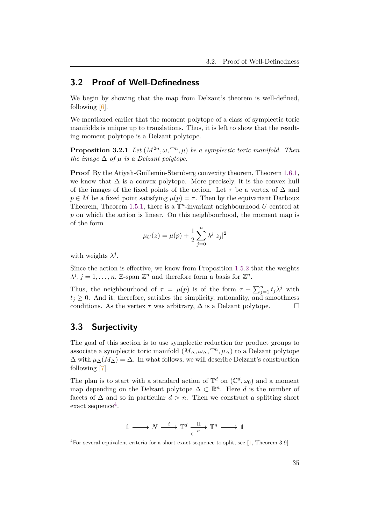# <span id="page-37-0"></span>**3.2 Proof of Well-Definedness**

We begin by showing that the map from Delzant's theorem is well-defined, following [[6](#page-48-4)].

We mentioned earlier that the moment polytope of a class of symplectic toric manifolds is unique up to translations. Thus, it is left to show that the resulting moment polytope is a Delzant polytope.

**Proposition 3.2.1** *Let*  $(M^{2n}, \omega, \mathbb{T}^n, \mu)$  *be a symplectic toric manifold. Then the image*  $\Delta$  *of*  $\mu$  *is a Delzant polytope.* 

**Proof** By the Atiyah-Guillemin-Sternberg convexity theorem, Theorem [1.6.1](#page-23-1), we know that  $\Delta$  is a convex polytope. More precisely, it is the convex hull of the images of the fixed points of the action. Let  $\tau$  be a vertex of  $\Delta$  and  $p \in M$  be a fixed point satisfying  $\mu(p) = \tau$ . Then by the equivariant Darboux Theorem, Theorem [1.5.1](#page-21-1), there is a  $\mathbb{T}^n$ -invariant neighbourhood *U* centred at *p* on which the action is linear. On this neighbourhood, the moment map is of the form

$$
\mu_U(z) = \mu(p) + \frac{1}{2} \sum_{j=0}^n \lambda^j |z_j|^2
$$

with weights  $\lambda^j$ .

Since the action is effective, we know from Proposition [1.5.2](#page-22-1) that the weights  $\lambda^j$ ,  $j = 1, \ldots, n$ , Z-span  $\mathbb{Z}^n$  and therefore form a basis for  $\mathbb{Z}^n$ .

Thus, the neighbourhood of  $\tau = \mu(p)$  is of the form  $\tau + \sum_{j=1}^{n} t_j \lambda^j$  with  $t_i \geq 0$ . And it, therefore, satisfies the simplicity, rationality, and smoothness conditions. As the vertex  $\tau$  was arbitrary,  $\Delta$  is a Delzant polytope.  $\Box$ 

# <span id="page-37-1"></span>**3.3 Surjectivity**

The goal of this section is to use symplectic reduction for product groups to associate a symplectic toric manifold  $(M_{\Delta}, \omega_{\Delta}, \mathbb{T}^n, \mu_{\Delta})$  to a Delzant polytope  $\Delta$  with  $\mu_{\Delta}(M_{\Delta}) = \Delta$ . In what follows, we will describe Delzant's construction following [[7](#page-48-3)].

The plan is to start with a standard action of  $\mathbb{T}^d$  on  $(\mathbb{C}^d, \omega_0)$  and a moment map depending on the Delzant polytope  $\Delta \subset \mathbb{R}^n$ . Here *d* is the number of facets of  $\Delta$  and so in particular  $d > n$ . Then we construct a splitting short  $\alpha$  exact sequence<sup>[4](#page-37-2)</sup>.

$$
\mathbbm{1}\longrightarrow N\stackrel{i}{\longrightarrow}\mathbbm{T}^d\stackrel{\Pi}{\underset{\longleftarrow}{\longrightarrow}}\mathbbm{T}^n\stackrel{}{\longrightarrow}\mathbbm{1}
$$

<span id="page-37-2"></span><sup>&</sup>lt;sup>4</sup>For several equivalent criteria for a short exact sequence to split, see  $[1,$  Theorem 3.9].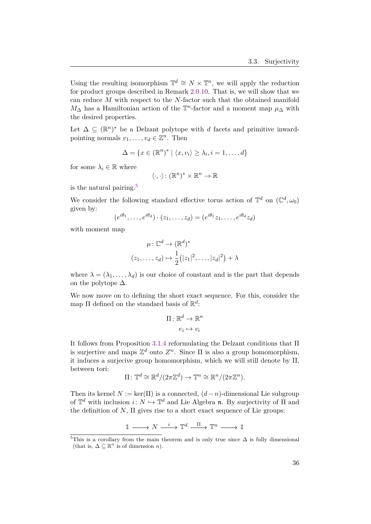Using the resulting isomorphism  $\mathbb{T}^d \cong N \times \mathbb{T}^n$ , we will apply the reduction for product groups described in Remark [2.0.10.](#page-31-0) That is, we will show that we can reduce *M* with respect to the *N*-factor such that the obtained manifold  $M<sub>∆</sub>$  has a Hamiltonian action of the  $\mathbb{T}^n$ -factor and a moment map  $\mu<sub>∆</sub>$  with the desired properties.

Let  $\Delta \subseteq (\mathbb{R}^n)^*$  be a Delzant polytope with *d* facets and primitive inwardpointing normals  $v_1, \ldots, v_d \in \mathbb{Z}^n$ . Then

$$
\Delta = \{x \in (\mathbb{R}^n)^* \mid \langle x, v_i \rangle \ge \lambda_i, i = 1, \dots, d\}
$$

for some  $\lambda_i \in \mathbb{R}$  where

$$
\langle \cdot, \cdot \rangle \colon (\mathbb{R}^n)^* \times \mathbb{R}^n \to \mathbb{R}
$$

is the natural pairing.[5](#page-38-0)

We consider the following standard effective torus action of  $\mathbb{T}^d$  on  $(\mathbb{C}^d, \omega_0)$ given by:

$$
(e^{i\theta_1}, \dots, e^{i\theta_d}) \cdot (z_1, \dots, z_d) = (e^{i\theta_1}z_1, \dots, e^{i\theta_d}z_d)
$$

with moment map

$$
\mu \colon \mathbb{C}^d \to (\mathbb{R}^d)^*
$$

$$
(z_1, \dots, z_d) \mapsto \frac{1}{2} (|z_1|^2, \dots, |z_d|^2) + \lambda
$$

where  $\lambda = (\lambda_1, \ldots, \lambda_d)$  is our choice of constant and is the part that depends on the polytope  $\Delta$ .

We now move on to defining the short exact sequence. For this, consider the map Π defined on the standard basis of R *d* :

$$
\Pi \colon \mathbb{R}^d \to \mathbb{R}^n
$$

$$
e_i \mapsto v_i
$$

It follows from Proposition [3.1.4](#page-36-2) reformulating the Delzant conditions that Π is surjective and maps  $\mathbb{Z}^d$  onto  $Z^n$ . Since  $\Pi$  is also a group homomorphism, it induces a surjecive group homomorphism, which we will still denote by Π, between tori:

$$
\Pi\colon\mathbb{T}^d\cong\mathbb{R}^d/(2\pi\mathbb{Z}^d)\to\mathbb{T}^n\cong\mathbb{R}^n/(2\pi\mathbb{Z}^n).
$$

Then its kernel  $N := \text{ker}(\Pi)$  is a connected,  $(d - n)$ -dimensional Lie subgroup of  $\mathbb{T}^d$  with inclusion  $i: N \hookrightarrow \mathbb{T}^d$  and Lie Algebra **n**. By surjectivity of  $\Pi$  and the definition of  $N$ ,  $\Pi$  gives rise to a short exact sequence of Lie groups:

 $1 \longrightarrow N \xrightarrow{i} \mathbb{T}^d \xrightarrow{\Pi} \mathbb{T}^n \longrightarrow \mathbb{1}$ 

<span id="page-38-0"></span><sup>&</sup>lt;sup>5</sup>This is a corollary from the main theorem and is only true since  $\Delta$  is fully dimensional (that is,  $\Delta \subseteq \mathbb{R}^n$  is of dimension *n*).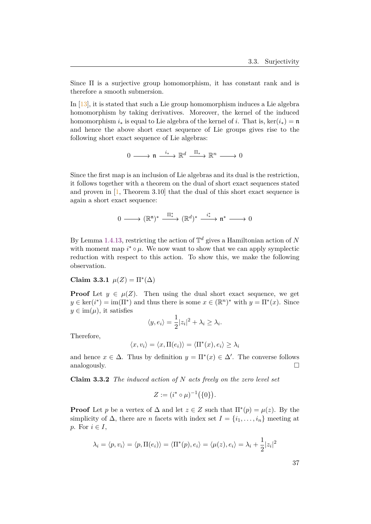Since Π is a surjective group homomorphism, it has constant rank and is therefore a smooth submersion.

In [[13\]](#page-49-10), it is stated that such a Lie group homomorphism induces a Lie algebra homomorphism by taking derivatives. Moreover, the kernel of the induced homomorphism  $i_*$  is equal to Lie algebra of the kernel of *i*. That is,  $\ker(i_*) = \mathfrak{n}$ and hence the above short exact sequence of Lie groups gives rise to the following short exact sequence of Lie algebras:

$$
0 \longrightarrow \mathfrak{n} \xrightarrow{i_*} \mathbb{R}^d \xrightarrow{\Pi_*} \mathbb{R}^n \longrightarrow 0
$$

Since the first map is an inclusion of Lie algebras and its dual is the restriction, it follows together with a theorem on the dual of short exact sequences stated and proven in  $[1,$  $[1,$  $[1,$  Theorem 3.10 that the dual of this short exact sequence is again a short exact sequence:

$$
0 \longrightarrow (\mathbb{R}^n)^* \xrightarrow{\Pi^*_*} (\mathbb{R}^d)^* \xrightarrow{i^*_*} \mathfrak{n}^* \longrightarrow 0
$$

By Lemma [1.4.13](#page-20-1), restricting the action of T *<sup>d</sup>* gives a Hamiltonian action of *N* with moment map  $i^* \circ \mu$ . We now want to show that we can apply symplectic reduction with respect to this action. To show this, we make the following observation.

### <span id="page-39-0"></span>**Claim 3.3.1**  $\mu(Z) = \Pi^*(\Delta)$

**Proof** Let  $y \in \mu(Z)$ . Then using the dual short exact sequence, we get  $y \in \text{ker}(i^*) = \text{im}(\Pi^*)$  and thus there is some  $x \in (\mathbb{R}^n)^*$  with  $y = \Pi^*(x)$ . Since  $y \in \text{im}(\mu)$ , it satisfies

$$
\langle y, e_i \rangle = \frac{1}{2} |z_i|^2 + \lambda_i \ge \lambda_i.
$$

Therefore,

$$
\langle x, v_i \rangle = \langle x, \Pi(e_i) \rangle = \langle \Pi^*(x), e_i \rangle \ge \lambda_i
$$

and hence  $x \in \Delta$ . Thus by definition  $y = \Pi^*(x) \in \Delta'$ . The converse follows analogously. □

<span id="page-39-1"></span>**Claim 3.3.2** *The induced action of N acts freely on the zero level set*

$$
Z := (i^* \circ \mu)^{-1}(\{0\}).
$$

**Proof** Let *p* be a vertex of  $\Delta$  and let  $z \in Z$  such that  $\Pi^*(p) = \mu(z)$ . By the simplicity of  $\Delta$ , there are *n* facets with index set  $I = \{i_1, \ldots, i_n\}$  meeting at *p*. For  $i \in I$ ,

$$
\lambda_i = \langle p, v_i \rangle = \langle p, \Pi(e_i) \rangle = \langle \Pi^*(p), e_i \rangle = \langle \mu(z), e_i \rangle = \lambda_i + \frac{1}{2} |z_i|^2
$$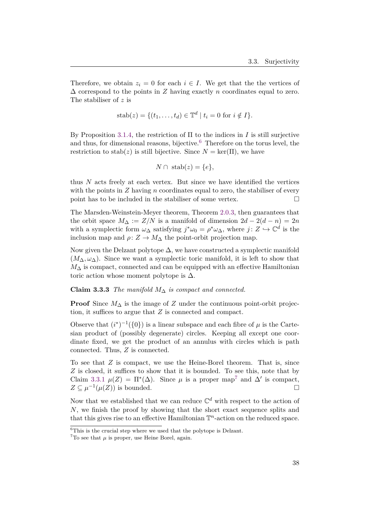Therefore, we obtain  $z_i = 0$  for each  $i \in I$ . We get that the the vertices of  $\Delta$  correspond to the points in *Z* having exactly *n* coordinates equal to zero. The stabiliser of *z* is

$$
stab(z) = \{(t_1, \ldots, t_d) \in \mathbb{T}^d \mid t_i = 0 \text{ for } i \notin I\}.
$$

By Proposition [3.1.4](#page-36-2), the restriction of Π to the indices in *I* is still surjective and thus, for dimensional reasons, bijective. $6$  Therefore on the torus level, the restriction to stab(*z*) is still bijective. Since  $N = \text{ker}(\Pi)$ , we have

$$
N \cap \operatorname{stab}(z) = \{e\},\
$$

thus  $N$  acts freely at each vertex. But since we have identified the vertices with the points in *Z* having *n* coordinates equal to zero, the stabiliser of every point has to be included in the stabiliser of some vertex.  $\Box$ 

The Marsden-Weinstein-Meyer theorem, Theorem [2.0.3,](#page-28-0) then guarantees that the orbit space  $M_{\Delta} := Z/N$  is a manifold of dimension  $2d - 2(d - n) = 2n$ with a symplectic form  $\omega_{\Delta}$  satisfying  $j^*\omega_0 = \rho^*\omega_{\Delta}$ , where  $j: Z \hookrightarrow \mathbb{C}^d$  is the inclusion map and  $\rho: Z \to M_{\Delta}$  the point-orbit projection map.

Now given the Delzant polytope  $\Delta$ , we have constructed a symplectic manifold  $(M_\Delta, \omega_\Delta)$ . Since we want a symplectic toric manifold, it is left to show that *M*∆ is compact, connected and can be equipped with an effective Hamiltonian toric action whose moment polytope is  $\Delta$ .

#### **Claim 3.3.3** *The manifold M*<sup>∆</sup> *is compact and connected.*

**Proof** Since  $M_{\Delta}$  is the image of *Z* under the continuous point-orbit projection, it suffices to argue that *Z* is connected and compact.

Observe that  $(i^*)^{-1}(\{0\})$  is a linear subspace and each fibre of  $\mu$  is the Cartesian product of (possibly degenerate) circles. Keeping all except one coordinate fixed, we get the product of an annulus with circles which is path connected. Thus, *Z* is connected.

To see that *Z* is compact, we use the Heine-Borel theorem. That is, since *Z* is closed, it suffices to show that it is bounded. To see this, note that by Claim [3.3.1](#page-39-0)  $\mu(Z) = \Pi^*(\Delta)$ . Since  $\mu$  is a proper map<sup>[7](#page-40-1)</sup> and  $\Delta'$  is compact,  $Z \subseteq \mu^{-1}(\mu(Z))$  is bounded.

Now that we established that we can reduce  $\mathbb{C}^d$  with respect to the action of *N*, we finish the proof by showing that the short exact sequence splits and that this gives rise to an effective Hamiltonian  $\mathbb{T}^n$ -action on the reduced space.

<span id="page-40-0"></span> ${}^{6}$ This is the crucial step where we used that the polytope is Delzant.

<span id="page-40-1"></span> ${}^{7}$ To see that  $\mu$  is proper, use Heine Borel, again.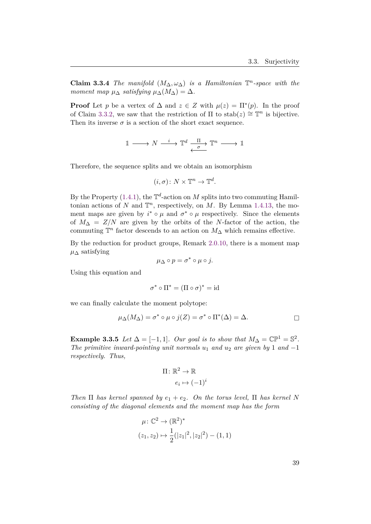**Claim 3.3.4** *The manifold*  $(M_{\Delta}, \omega_{\Delta})$  *is a Hamiltonian*  $\mathbb{T}^n$ -space with the *moment map*  $\mu_{\Delta}$  *satisfying*  $\mu_{\Delta}(M_{\Delta}) = \Delta$ *.* 

**Proof** Let *p* be a vertex of  $\Delta$  and  $z \in Z$  with  $\mu(z) = \Pi^*(p)$ . In the proof of Claim [3.3.2,](#page-39-1) we saw that the restriction of  $\Pi$  to stab(*z*)  $\cong$   $\mathbb{T}^n$  is bijective. Then its inverse  $\sigma$  is a section of the short exact sequence.

$$
\mathbbm{1}\longrightarrow N\stackrel{i}{\longrightarrow}\mathbbm{T}^d\stackrel{\Pi}{\underset{\longleftarrow}{\longrightarrow}}\mathbbm{T}^n\stackrel{}{\longrightarrow}\mathbbm{1}
$$

Therefore, the sequence splits and we obtain an isomorphism

$$
(i, \sigma) \colon N \times \mathbb{T}^n \to \mathbb{T}^d.
$$

By the Property  $(1.4.1)$ , the  $\mathbb{T}^d$ -action on *M* splits into two commuting Hamiltonian actions of  $N$  and  $\mathbb{T}^n$ , respectively, on  $M$ . By Lemma [1.4.13](#page-20-1), the moment maps are given by  $i^* \circ \mu$  and  $\sigma^* \circ \mu$  respectively. Since the elements of  $M_\Delta = Z/N$  are given by the orbits of the *N*-factor of the action, the commuting  $\mathbb{T}^n$  factor descends to an action on  $M_\Delta$  which remains effective.

By the reduction for product groups, Remark [2.0.10,](#page-31-0) there is a moment map  $\mu_{\Delta}$  satisfying

$$
\mu_{\Delta}\circ p=\sigma^*\circ\mu\circ j.
$$

Using this equation and

$$
\sigma^* \circ \Pi^* = (\Pi \circ \sigma)^* = \mathrm{id}
$$

we can finally calculate the moment polytope:

$$
\mu_{\Delta}(M_{\Delta}) = \sigma^* \circ \mu \circ j(Z) = \sigma^* \circ \Pi^*(\Delta) = \Delta.
$$

**Example 3.3.5** *Let*  $\Delta = [-1, 1]$ *. Our goal is to show that*  $M_{\Delta} = \mathbb{CP}^1 = \mathbb{S}^2$ *. The primitive inward-pointing unit normals u*<sup>1</sup> *and u*<sup>2</sup> *are given by* 1 *and −*1 *respectively. Thus,*

$$
\Pi \colon \mathbb{R}^2 \to \mathbb{R}
$$

$$
e_i \mapsto (-1)^i
$$

*Then*  $\Pi$  *has kernel spanned by*  $e_1 + e_2$ *. On the torus level,*  $\Pi$  *has kernel*  $N$ *consisting of the diagonal elements and the moment map has the form*

$$
\mu: \mathbb{C}^2 \to (\mathbb{R}^2)^*
$$
  

$$
(z_1, z_2) \mapsto \frac{1}{2}(|z_1|^2, |z_2|^2) - (1, 1)
$$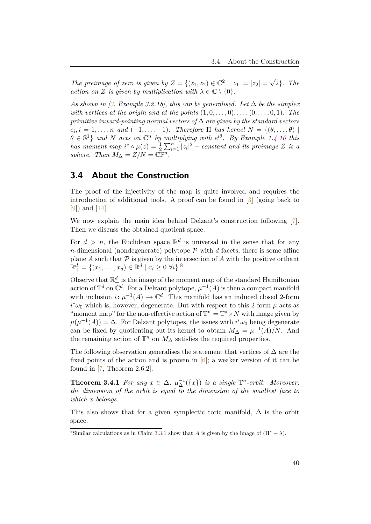*The preimage of zero is given by*  $Z = \{(z_1, z_2) \in \mathbb{C}^2 \mid |z_1| = |z_2| = 1\}$ *√* 2*}. The action on Z is given by multiplication with*  $\lambda \in \mathbb{C} \setminus \{0\}$ *.* 

*As shown in [<sup>[3](#page-48-5)</sup>*, *Example 3.2.18], this can be generalised. Let*  $\Delta$  *be the simplex with vertices at the origin and at the points*  $(1, 0, \ldots, 0), \ldots, (0, \ldots, 0, 1)$ *. The primitive inward-pointing normal vectors of* ∆ *are given by the standard vectors*  $e_i, i = 1, \ldots, n$  *and*  $(-1, \ldots, -1)$ *. Therefore*  $\Pi$  *has kernel*  $N = \{(\theta, \ldots, \theta) \mid \theta \in \Theta\}$  $\theta \in \mathbb{S}^1$  *and N acts* on  $\mathbb{C}^n$  *by multiplying with*  $e^{i\theta}$ *. By Example* [1.4.10](#page-18-0) *this has moment map*  $i^* \circ \mu(z) = \frac{1}{2} \sum_{i=1}^n |z_i|^2 + constant$  and its preimage Z is a *sphere. Then*  $M_{\Delta} = Z/N = \mathbb{C}\mathbb{P}^n$ *.* 

# <span id="page-42-0"></span>**3.4 About the Construction**

The proof of the injectivity of the map is quite involved and requires the introduction of additional tools. A proof can be found in [\[3\]](#page-48-5) (going back to [[9](#page-48-1)]) and [\[14](#page-49-12)].

We now explain the main idea behind Delzant's construction following [[7](#page-48-3)]. Then we discuss the obtained quotient space.

For  $d > n$ , the Euclidean space  $\mathbb{R}^d$  is universal in the sense that for any *n*-dimensional (nondegenerate) polytope  $P$  with *d* facets, there is some affine plane  $A$  such that  $P$  is given by the intersection of  $A$  with the positive orthant  $\mathbb{R}^d_+ = \{ (x_1, \ldots, x_d) \in \mathbb{R}^d \mid x_i \geq 0 \ \forall i \}$ .

Observe that  $\mathbb{R}^d_+$  is the image of the moment map of the standard Hamiltonian action of  $\mathbb{T}^d$  on  $\mathbb{C}^d$ . For a Delzant polytope,  $\mu^{-1}(A)$  is then a compact manifold with inclusion  $i: \mu^{-1}(A) \hookrightarrow \mathbb{C}^d$ . This manifold has an induced closed 2-form  $i^* \omega_0$  which is, however, degenerate. But with respect to this 2-form  $\mu$  acts as "moment map" for the non-effective action of  $\mathbb{T}^n = \mathbb{T}^d \times N$  with image given by  $\mu(\mu^{-1}(A)) = \Delta$ . For Delzant polytopes, the issues with  $i^* \omega_0$  being degenerate can be fixed by quotienting out its kernel to obtain  $M_{\Delta} = \mu^{-1}(A)/N$ . And the remaining action of  $\mathbb{T}^n$  on  $M_\Delta$  satisfies the required properties.

The following observation generalises the statement that vertices of  $\Delta$  are the fixed points of the action and is proven in  $[6]$ ; a weaker version of it can be found in  $[7,$  Theorem 2.6.2.

**Theorem 3.4.1** *For any*  $x \in \Delta$ ,  $\mu_{\Delta}^{-1}(\lbrace x \rbrace)$  *is a single*  $\mathbb{T}^n$ -orbit. Moreover, *the dimension of the orbit is equal to the dimension of the smallest face to which x belongs.*

This also shows that for a given symplectic toric manifold,  $\Delta$  is the orbit space.

<span id="page-42-1"></span><sup>&</sup>lt;sup>8</sup>Similar calculations as in Claim [3.3.1](#page-39-0) show that *A* is given by the image of  $(\Pi^* - \lambda)$ .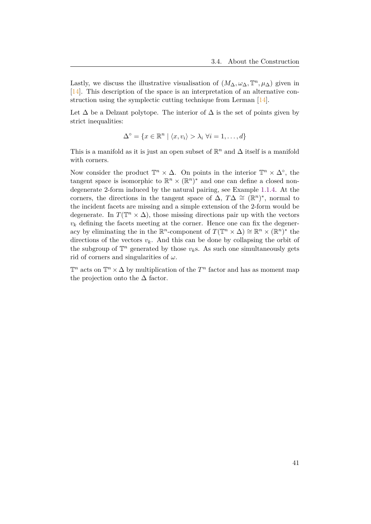Lastly, we discuss the illustrative visualisation of  $(M_{\Delta}, \omega_{\Delta}, \mathbb{T}^n, \mu_{\Delta})$  given in [[14\]](#page-49-12). This description of the space is an interpretation of an alternative construction using the symplectic cutting technique from Lerman [[14\]](#page-49-12).

Let  $\Delta$  be a Delzant polytope. The interior of  $\Delta$  is the set of points given by strict inequalities:

$$
\Delta^{\circ} = \{x \in \mathbb{R}^n \mid \langle x, v_i \rangle > \lambda_i \,\,\forall i = 1, \dots, d\}
$$

This is a manifold as it is just an open subset of  $\mathbb{R}^n$  and  $\Delta$  itself is a manifold with corners.

Now consider the product  $\mathbb{T}^n \times \Delta$ . On points in the interior  $\mathbb{T}^n \times \Delta^{\circ}$ , the tangent space is isomorphic to  $\mathbb{R}^n \times (\mathbb{R}^n)^*$  and one can define a closed nondegenerate 2-form induced by the natural pairing, see Example [1.1.4](#page-7-0). At the corners, the directions in the tangent space of  $\Delta$ ,  $T\Delta \cong (\mathbb{R}^n)^*$ , normal to the incident facets are missing and a simple extension of the 2-form would be degenerate. In  $T(\mathbb{T}^n \times \Delta)$ , those missing directions pair up with the vectors  $v_k$  defining the facets meeting at the corner. Hence one can fix the degeneracy by eliminating the in the  $\mathbb{R}^n$ -component of  $T(\mathbb{T}^n \times \Delta) \cong \mathbb{R}^n \times (\mathbb{R}^n)^*$  the directions of the vectors  $v_k$ . And this can be done by collapsing the orbit of the subgroup of  $\mathbb{T}^n$  generated by those  $v_k$ s. As such one simultaneously gets rid of corners and singularities of *ω*.

 $\mathbb{T}^n$  acts on  $\mathbb{T}^n \times \Delta$  by multiplication of the  $T^n$  factor and has as moment map the projection onto the  $\Delta$  factor.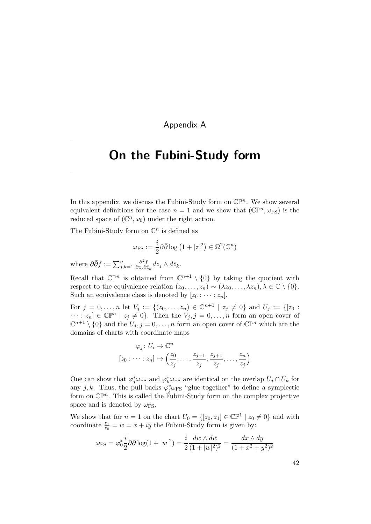### Appendix A

# <span id="page-44-0"></span>**On the Fubini-Study form**

In this appendix, we discuss the Fubini-Study form on  $\mathbb{CP}^n$ . We show several equivalent definitions for the case  $n = 1$  and we show that  $(\mathbb{CP}^n, \omega_{\text{FS}})$  is the reduced space of  $(\mathbb{C}^n, \omega_0)$  under the right action.

The Fubini-Study form on  $\mathbb{C}^n$  is defined as

$$
\omega_{\rm FS} := \frac{i}{2} \partial \bar{\partial} \log (1 + |z|^2) \in \Omega^2(\mathbb{C}^n)
$$

where  $\partial \bar{\partial} f := \sum_{j,k=1}^n$ *∂*<sup>2</sup>*f*  $\frac{\partial^2 f}{\partial z_j \partial \bar{z}_k} dz_j \wedge d\bar{z}_k$ .

Recall that  $\mathbb{CP}^n$  is obtained from  $\mathbb{C}^{n+1} \setminus \{0\}$  by taking the quotient with respect to the equivalence relation  $(z_0, \ldots, z_n) \sim (\lambda z_0, \ldots, \lambda z_n), \lambda \in \mathbb{C} \setminus \{0\}.$ Such an equivalence class is denoted by  $[z_0 : \cdots : z_n]$ .

For  $j = 0, \ldots, n$  let  $V_j := \{(z_0, \ldots, z_n) \in \mathbb{C}^{n+1} \mid z_j \neq 0\}$  and  $U_j := \{[z_0 :$  $\cdots$ :  $z_n$   $\in \mathbb{C}\mathbb{P}^n \mid z_j \neq 0$ . Then the  $V_j, j = 0, \ldots, n$  form an open cover of  $\mathbb{C}^{n+1} \setminus \{0\}$  and the  $U_j, j = 0, \ldots, n$  form an open cover of  $\mathbb{C}P^n$  which are the domains of charts with coordinate maps

$$
\varphi_j: U_i \to \mathbb{C}^n
$$
  

$$
[z_0: \cdots : z_n] \mapsto \left(\frac{z_0}{z_j}, \dots, \frac{z_{j-1}}{z_j}, \frac{z_{j+1}}{z_j}, \dots, \frac{z_n}{z_j}\right)
$$

One can show that  $\varphi_j^* \omega_{FS}$  and  $\varphi_k^* \omega_{FS}$  are identical on the overlap  $U_j \cap U_k$  for any *j*, *k*. Thus, the pull backs  $\varphi_j^* \omega_{\text{FS}}$  "glue together" to define a symplectic form on  $\mathbb{CP}^n$ . This is called the Fubini-Study form on the complex projective space and is denoted by  $\omega_{\text{FS}}$ .

We show that for  $n = 1$  on the chart  $U_0 = \{ [z_0, z_1] \in \mathbb{CP}^1 \mid z_0 \neq 0 \}$  and with coordinate  $\frac{z_1}{z_0} = w = x + iy$  the Fubini-Study form is given by:

$$
\omega_{\rm FS} = \varphi_0^* \frac{i}{2} \partial \bar{\partial} \log(1+|w|^2) = \frac{i}{2} \frac{dw \wedge d\bar{w}}{(1+|w|^2)^2} = \frac{dx \wedge dy}{(1+x^2+y^2)^2}
$$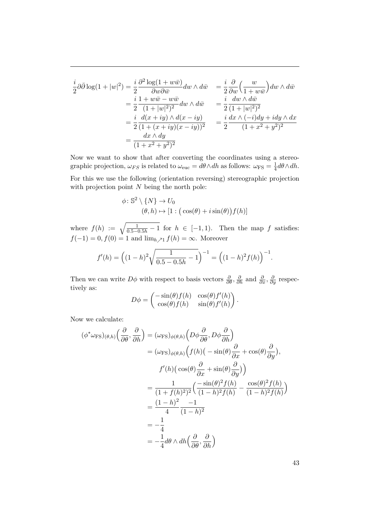$$
\frac{i}{2}\partial\overline{\partial}\log(1+|w|^2) = \frac{i}{2}\frac{\partial^2\log(1+w\overline{w})}{\partial w\partial\overline{w}}dw \wedge d\overline{w} = \frac{i}{2}\frac{\partial}{\partial w}\left(\frac{w}{1+w\overline{w}}\right)dw \wedge d\overline{w}
$$

$$
= \frac{i}{2}\frac{1+w\overline{w}-w\overline{w}}{(1+|w|^2)^2}dw \wedge d\overline{w} = \frac{i}{2}\frac{dw \wedge d\overline{w}}{(1+|w|^2)^2}
$$

$$
= \frac{i}{2}\frac{d(x+iy) \wedge d(x-iy)}{(1+x+iy)(x-iy))^2} = \frac{i}{2}\frac{dx \wedge (-i)dy + idy \wedge dx}{(1+x^2+y^2)^2}
$$

$$
= \frac{dx \wedge dy}{(1+x^2+y^2)^2}
$$

Now we want to show that after converting the coordinates using a stereographic projection,  $\omega_{FS}$  is related to  $\omega_{\text{euc}} = d\theta \wedge dh$  as follows:  $\omega_{FS} = \frac{1}{4}$ 4 *dθ∧dh*. For this we use the following (orientation reversing) stereographic projection with projection point *N* being the north pole:

$$
\phi \colon \mathbb{S}^2 \setminus \{N\} \to U_0
$$

$$
(\theta, h) \mapsto [1 : (\cos(\theta) + i \sin(\theta)) f(h)]
$$

where  $f(h) := \sqrt{\frac{1}{0.5 - 0.5h} - 1}$  for  $h \in [-1, 1)$ . Then the map f satisfies: *f*(*−*1) = 0*, f*(0) = 1 and  $\lim_{h \nearrow 1} f(h) = \infty$ . Moreover

$$
f'(h) = \left( (1-h)^2 \sqrt{\frac{1}{0.5 - 0.5h} - 1} \right)^{-1} = \left( (1-h)^2 f(h) \right)^{-1}.
$$

Then we can write  $D\phi$  with respect to basis vectors  $\frac{\partial}{\partial \theta}$ ,  $\frac{\partial}{\partial h}$  and  $\frac{\partial}{\partial x}$ ,  $\frac{\partial}{\partial y}$  respectively as:

$$
D\phi = \begin{pmatrix} -\sin(\theta)f(h) & \cos(\theta)f'(h) \\ \cos(\theta)f(h) & \sin(\theta)f'(h) \end{pmatrix}.
$$

Now we calculate:

$$
(\phi^* \omega_{\text{FS}})_{(\theta,h)} \left( \frac{\partial}{\partial \theta}, \frac{\partial}{\partial h} \right) = (\omega_{\text{FS}})_{\phi(\theta,h)} \left( D\phi \frac{\partial}{\partial \theta}, D\phi \frac{\partial}{\partial h} \right)
$$
  
\n
$$
= (\omega_{\text{FS}})_{\phi(\theta,h)} \left( f(h) \left( -\sin(\theta) \frac{\partial}{\partial x} + \cos(\theta) \frac{\partial}{\partial y} \right), \frac{f'(h) \left( \cos(\theta) \frac{\partial}{\partial x} + \sin(\theta) \frac{\partial}{\partial y} \right)}{(\theta - \sin(\theta)^2 f(h))} \right)
$$
  
\n
$$
= \frac{1}{(1 + f(h)^2)^2} \left( \frac{-\sin(\theta)^2 f(h)}{(1 - h)^2 f(h)} - \frac{\cos(\theta)^2 f(h)}{(1 - h)^2 f(h)} \right)
$$
  
\n
$$
= \frac{(1 - h)^2}{4} - \frac{1}{4}
$$
  
\n
$$
= -\frac{1}{4} d\theta \wedge dh \left( \frac{\partial}{\partial \theta}, \frac{\partial}{\partial h} \right)
$$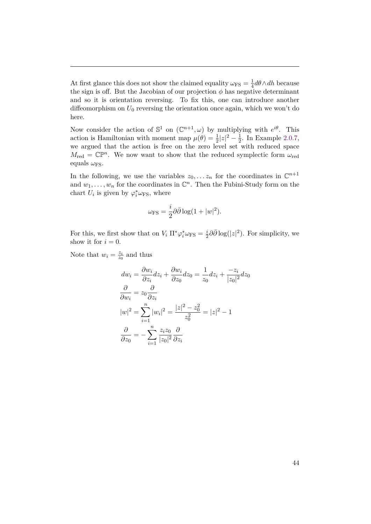At first glance this does not show the claimed equality  $\omega_{\text{FS}} = \frac{1}{4}$ 4 *dθ∧dh* because the sign is off. But the Jacobian of our projection  $\phi$  has negative determinant and so it is orientation reversing. To fix this, one can introduce another diffeomorphism on  $U_0$  reversing the orientation once again, which we won't do here.

Now consider the action of  $\mathbb{S}^1$  on  $(\mathbb{C}^{n+1}, \omega)$  by multiplying with  $e^{i\theta}$ . This action is Hamiltonian with moment map  $\mu(\theta) = \frac{1}{2}|z|^2 - \frac{1}{2}$  $\frac{1}{2}$ . In Example [2.0.7](#page-29-0), we argued that the action is free on the zero level set with reduced space  $M_{\text{red}} = \mathbb{CP}^n$ . We now want to show that the reduced symplectic form  $\omega_{\text{red}}$ equals  $\omega_{\text{FS}}$ .

In the following, we use the variables  $z_0, \ldots z_n$  for the coordinates in  $\mathbb{C}^{n+1}$ and  $w_1, \ldots, w_n$  for the coordinates in  $\mathbb{C}^n$ . Then the Fubini-Study form on the chart  $U_i$  is given by  $\varphi_i^* \omega_{\text{FS}}$ , where

$$
\omega_{\rm FS} = \frac{i}{2} \partial \bar{\partial} \log (1 + |w|^2).
$$

For this, we first show that on  $V_i \Pi^* \varphi_i^* \omega_{\text{FS}} = \frac{i}{2}$  $\frac{i}{2}\partial\bar{\partial}\log(|z|^2)$ . For simplicity, we show it for  $i = 0$ .

Note that  $w_i = \frac{z_i}{z_0}$  $\frac{z_i}{z_0}$  and thus

$$
dw_i = \frac{\partial w_i}{\partial z_i} dz_i + \frac{\partial w_i}{\partial z_0} dz_0 = \frac{1}{z_0} dz_i + \frac{-z_i}{|z_0|^2} dz_0
$$

$$
\frac{\partial}{\partial w_i} = z_0 \frac{\partial}{\partial z_i}
$$

$$
|w|^2 = \sum_{i=1}^n |w_i|^2 = \frac{|z|^2 - z_0^2}{z_0^2} = |z|^2 - 1
$$

$$
\frac{\partial}{\partial z_0} = -\sum_{i=1}^n \frac{z_i z_0}{|z_0|^2} \frac{\partial}{\partial z_i}
$$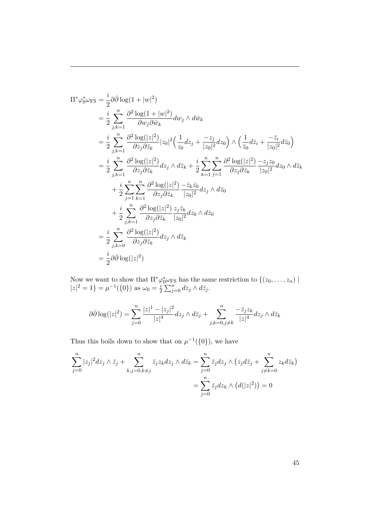$$
\Pi^*\varphi_0^*\omega_{\text{FS}} = \frac{i}{2}\partial\bar{\partial}\log(1+|w|^2)
$$
  
\n
$$
= \frac{i}{2}\sum_{j,k=1}^n \frac{\partial^2 \log(1+|w|^2)}{\partial w_j \partial \bar{w}_k} dw_j \wedge d\bar{w}_k
$$
  
\n
$$
= \frac{i}{2}\sum_{j,k=1}^n \frac{\partial^2 \log(|z|^2)}{\partial z_j \partial \bar{z}_k} |z_0|^2 \left(\frac{1}{z_0}dz_j + \frac{-z_j}{|z_0|^2}dz_0\right) \wedge \left(\frac{1}{\bar{z}_0}d\bar{z}_i + \frac{-\bar{z}_i}{|z_0|^2}d\bar{z}_0\right)
$$
  
\n
$$
= \frac{i}{2}\sum_{j,k=1}^n \frac{\partial^2 \log(|z|^2)}{\partial z_j \partial \bar{z}_k} dz_j \wedge d\bar{z}_k + \frac{i}{2}\sum_{k=1}^n \sum_{j=1}^n \frac{\partial^2 \log(|z|^2)}{\partial z_j \partial \bar{z}_k} - \frac{-z_j z_0}{|z_0|^2}dz_0 \wedge d\bar{z}_k
$$
  
\n
$$
+ \frac{i}{2}\sum_{j,k=1}^n \sum_{k=1}^n \frac{\partial^2 \log(|z|^2)}{\partial z_j \partial \bar{z}_k} - \frac{z_k \bar{z}_0}{|z_0|^2}dz_j \wedge d\bar{z}_0
$$
  
\n
$$
+ \frac{i}{2}\sum_{j,k=1}^n \frac{\partial^2 \log(|z|^2)}{\partial z_j \partial \bar{z}_k} \frac{z_j \bar{z}_k}{|z_0|^2}dz_0 \wedge d\bar{z}_0
$$
  
\n
$$
= \frac{i}{2}\sum_{j,k=0}^n \frac{\partial^2 \log(|z|^2)}{\partial z_j \partial \bar{z}_k} dz_j \wedge d\bar{z}_k
$$
  
\n
$$
= \frac{i}{2}\partial\bar{\partial}\log(|z|^2)
$$

Now we want to show that  $\Pi^* \varphi_0^* \omega_{FS}$  has the same restriction to  $\{(z_0, \ldots, z_n) \mid$  $|z|^2 = 1$ } =  $\mu^{-1}(\{0\})$  as  $\omega_0 = \frac{i}{2}$  $\frac{i}{2} \sum_{j=0}^{n} dz_j \wedge d\overline{z}_j$ .

$$
\partial \bar{\partial} \log(|z|^2) = \sum_{j=0}^n \frac{|z|^1 - |z_j|^2}{|z|^4} dz_j \wedge d\bar{z}_j + \sum_{j,k=0, j\neq k}^n \frac{-\bar{z}_j z_k}{|z|^4} dz_j \wedge d\bar{z}_k
$$

Thus this boils down to show that on  $\mu^{-1}(\{0\})$ , we have

$$
\sum_{j=0}^{n} |z_j|^2 dz_j \wedge \bar{z}_j + \sum_{k,j=0, k \neq j}^{n} \bar{z}_j z_k dz_j \wedge d\bar{z}_k = \sum_{j=0}^{n} \bar{z}_j dz_j \wedge (z_j d\bar{z}_j + \sum_{j \neq k=0}^{n} z_k d\bar{z}_k)
$$

$$
= \sum_{j=0}^{n} \bar{z}_j dz_k \wedge (d(|z|^2)) = 0
$$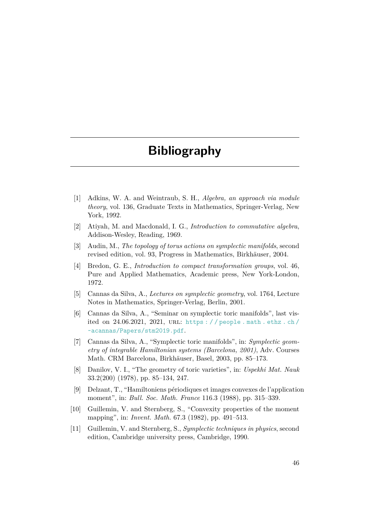# **Bibliography**

- <span id="page-48-11"></span><span id="page-48-0"></span>[1] Adkins, W. A. and Weintraub, S. H., *Algebra, an approach via module theory*, vol. 136, Graduate Texts in Mathematics, Springer-Verlag, New York, 1992.
- <span id="page-48-7"></span>[2] Atiyah, M. and Macdonald, I. G., *Introduction to commutative algebra*, Addison-Wesley, Reading, 1969.
- <span id="page-48-5"></span>[3] Audin, M., *The topology of torus actions on symplectic manifolds*, second revised edition, vol. 93, Progress in Mathematics, Birkhäuser, 2004.
- <span id="page-48-9"></span>[4] Bredon, G. E., *Introduction to compact transformation groups*, vol. 46, Pure and Applied Mathematics, Academic press, New York-London, 1972.
- <span id="page-48-2"></span>[5] Cannas da Silva, A., *Lectures on symplectic geometry*, vol. 1764, Lecture Notes in Mathematics, Springer-Verlag, Berlin, 2001.
- <span id="page-48-4"></span>[6] Cannas da Silva, A., "Seminar on symplectic toric manifolds", last visited on 24.06.2021, 2021, URL: https://people.math.ethz.ch/ [~acannas/Papers/stm2019.pdf](https://people.math.ethz.ch/~acannas/Papers/stm2019.pdf).
- <span id="page-48-3"></span>[7] Cannas da Silva, A., "Symplectic toric manifolds", in: *Symplectic geometry of integrable Hamiltonian systems (Barcelona, 2001)*, Adv. Courses Math. CRM Barcelona, Birkhäuser, Basel, 2003, pp. 85–173.
- <span id="page-48-10"></span>[8] Danilov, V. I., "The geometry of toric varieties", in: *Uspekhi Mat. Nauk* 33.2(200) (1978), pp. 85–134, 247.
- <span id="page-48-1"></span>[9] Delzant, T., "Hamiltoniens périodiques et images convexes de l'application moment", in: *Bull. Soc. Math. France* 116.3 (1988), pp. 315–339.
- <span id="page-48-8"></span>[10] Guillemin, V. and Sternberg, S., "Convexity properties of the moment mapping", in: *Invent. Math.* 67.3 (1982), pp. 491–513.
- <span id="page-48-6"></span>[11] Guillemin, V. and Sternberg, S., *Symplectic techniques in physics*, second edition, Cambridge university press, Cambridge, 1990.